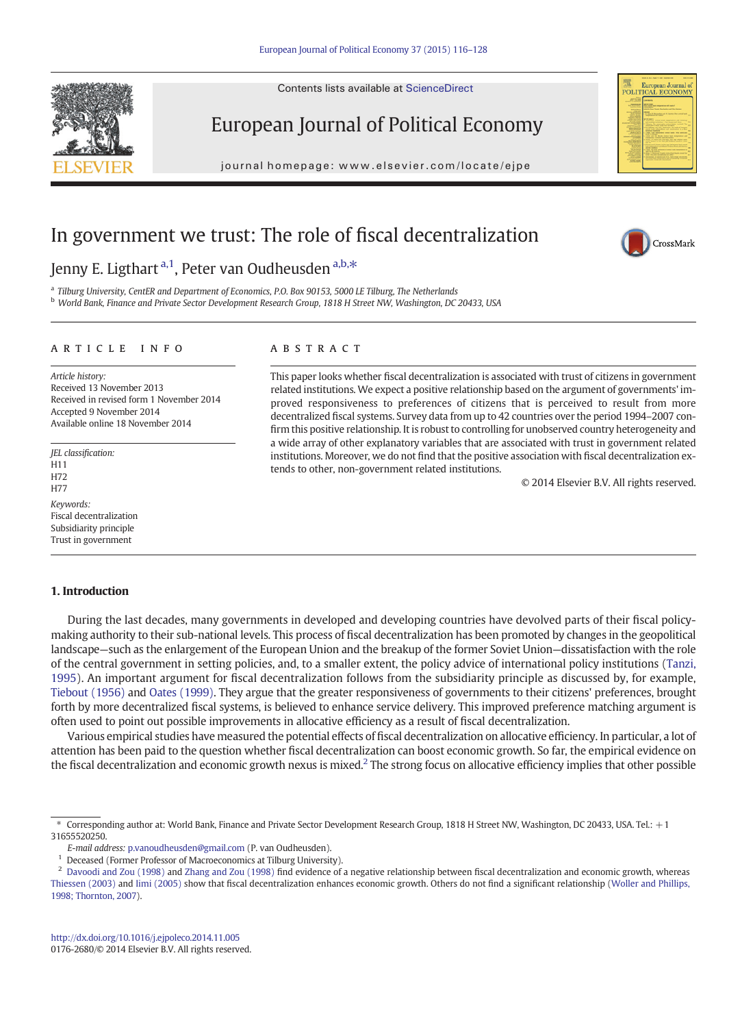Contents lists available at ScienceDirect



journal homepage: www.elsevier.com/locate/ejpeer.com/locate/ejpeer.com/locate/ejpeer.com/locate/ejpeer.com/locate/ejpeer.com/locate/ejpeer.com/locate/ejpeer.com/locate/ejpeer.com/locate/ejpeer.com/locate/ejpeer.com/locate

This paper looks whether fiscal decentralization is associated with trust of citizens in government related institutions. We expect a positive relationship based on the argument of governments' improved responsiveness to preferences of citizens that is perceived to result from more decentralized fiscal systems. Survey data from up to 42 countries over the period 1994–2007 confirm this positive relationship. It is robust to controlling for unobserved country heterogeneity and a wide array of other explanatory variables that are associated with trust in government related institutions. Moreover, we do not find that the positive association with fiscal decentralization ex-

# In government we trust: The role of fiscal decentralization

## Jenny E. Ligthart<sup>a,1</sup>, Peter van Oudheusden a,b,\*

<sup>a</sup> Tilburg University, CentER and Department of Economics, P.O. Box 90153, 5000 LE Tilburg, The Netherlands <sup>b</sup> World Bank, Finance and Private Sector Development Research Group, 1818 H Street NW, Washington, DC 20433, USA

#### article info abstract

Article history: Received 13 November 2013 Received in revised form 1 November 2014 Accepted 9 November 2014 Available online 18 November 2014

JEL classification: **H11** H72 H77 Keywords: Fiscal decentralization Subsidiarity principle Trust in government

#### 1. Introduction

During the last decades, many governments in developed and developing countries have devolved parts of their fiscal policymaking authority to their sub-national levels. This process of fiscal decentralization has been promoted by changes in the geopolitical landscape—such as the enlargement of the European Union and the breakup of the former Soviet Union—dissatisfaction with the role of the central government in setting policies, and, to a smaller extent, the policy advice of international policy institutions ([Tanzi,](#page-12-0) [1995](#page-12-0)). An important argument for fiscal decentralization follows from the subsidiarity principle as discussed by, for example, [Tiebout \(1956\)](#page-12-0) and [Oates \(1999\)](#page-12-0). They argue that the greater responsiveness of governments to their citizens' preferences, brought forth by more decentralized fiscal systems, is believed to enhance service delivery. This improved preference matching argument is often used to point out possible improvements in allocative efficiency as a result of fiscal decentralization.

tends to other, non-government related institutions.

Various empirical studies have measured the potential effects of fiscal decentralization on allocative efficiency. In particular, a lot of attention has been paid to the question whether fiscal decentralization can boost economic growth. So far, the empirical evidence on the fiscal decentralization and economic growth nexus is mixed.2 The strong focus on allocative efficiency implies that other possible



© 2014 Elsevier B.V. All rights reserved.



<sup>⁎</sup> Corresponding author at: World Bank, Finance and Private Sector Development Research Group, 1818 H Street NW, Washington, DC 20433, USA. Tel.: +1 31655520250.

E-mail address: [p.vanoudheusden@gmail.com](mailto:p.vanoudheusden@gmail.com) (P. van Oudheusden).

<sup>&</sup>lt;sup>1</sup> Deceased (Former Professor of Macroeconomics at Tilburg University).

<sup>&</sup>lt;sup>2</sup> [Davoodi and Zou \(1998\)](#page-11-0) and [Zhang and Zou \(1998\)](#page-12-0) find evidence of a negative relationship between fiscal decentralization and economic growth, whereas [Thiessen \(2003\)](#page-12-0) and [Iimi \(2005\)](#page-11-0) show that fiscal decentralization enhances economic growth. Others do not find a significant relationship ([Woller and Phillips,](#page-12-0) [1998; Thornton, 2007\)](#page-12-0).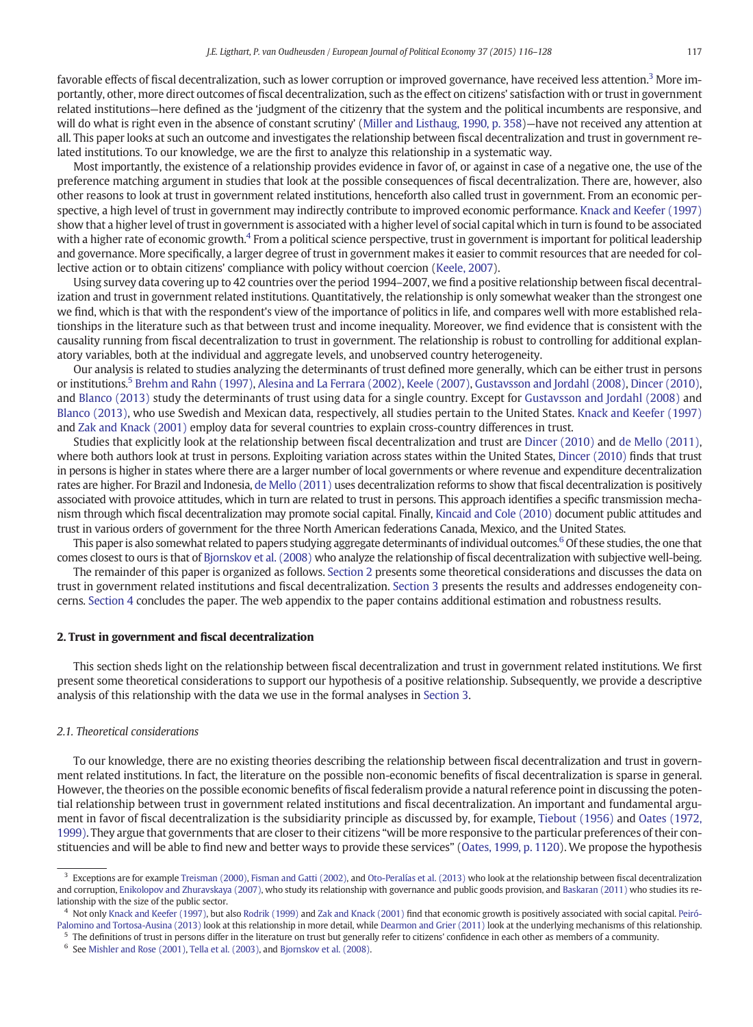favorable effects of fiscal decentralization, such as lower corruption or improved governance, have received less attention.<sup>3</sup> More importantly, other, more direct outcomes of fiscal decentralization, such as the effect on citizens' satisfaction with or trust in government related institutions—here defined as the 'judgment of the citizenry that the system and the political incumbents are responsive, and will do what is right even in the absence of constant scrutiny' [\(Miller and Listhaug, 1990, p. 358](#page-12-0))—have not received any attention at all. This paper looks at such an outcome and investigates the relationship between fiscal decentralization and trust in government related institutions. To our knowledge, we are the first to analyze this relationship in a systematic way.

Most importantly, the existence of a relationship provides evidence in favor of, or against in case of a negative one, the use of the preference matching argument in studies that look at the possible consequences of fiscal decentralization. There are, however, also other reasons to look at trust in government related institutions, henceforth also called trust in government. From an economic perspective, a high level of trust in government may indirectly contribute to improved economic performance. [Knack and Keefer \(1997\)](#page-11-0) show that a higher level of trust in government is associated with a higher level of social capital which in turn is found to be associated with a higher rate of economic growth.<sup>4</sup> From a political science perspective, trust in government is important for political leadership and governance. More specifically, a larger degree of trust in government makes it easier to commit resources that are needed for collective action or to obtain citizens' compliance with policy without coercion [\(Keele, 2007](#page-11-0)).

Using survey data covering up to 42 countries over the period 1994–2007, we find a positive relationship between fiscal decentralization and trust in government related institutions. Quantitatively, the relationship is only somewhat weaker than the strongest one we find, which is that with the respondent's view of the importance of politics in life, and compares well with more established relationships in the literature such as that between trust and income inequality. Moreover, we find evidence that is consistent with the causality running from fiscal decentralization to trust in government. The relationship is robust to controlling for additional explanatory variables, both at the individual and aggregate levels, and unobserved country heterogeneity.

Our analysis is related to studies analyzing the determinants of trust defined more generally, which can be either trust in persons or institutions.<sup>5</sup> [Brehm and Rahn \(1997\),](#page-11-0) [Alesina and La Ferrara \(2002\)](#page-11-0), [Keele \(2007\),](#page-11-0) [Gustavsson and Jordahl \(2008\)](#page-11-0), [Dincer \(2010\),](#page-11-0) and [Blanco \(2013\)](#page-11-0) study the determinants of trust using data for a single country. Except for [Gustavsson and Jordahl \(2008\)](#page-11-0) and [Blanco \(2013\)](#page-11-0), who use Swedish and Mexican data, respectively, all studies pertain to the United States. [Knack and Keefer \(1997\)](#page-11-0) and [Zak and Knack \(2001\)](#page-12-0) employ data for several countries to explain cross-country differences in trust.

Studies that explicitly look at the relationship between fiscal decentralization and trust are [Dincer \(2010\)](#page-11-0) and [de Mello \(2011\),](#page-11-0) where both authors look at trust in persons. Exploiting variation across states within the United States, [Dincer \(2010\)](#page-11-0) finds that trust in persons is higher in states where there are a larger number of local governments or where revenue and expenditure decentralization rates are higher. For Brazil and Indonesia, [de Mello \(2011\)](#page-11-0) uses decentralization reforms to show that fiscal decentralization is positively associated with provoice attitudes, which in turn are related to trust in persons. This approach identifies a specific transmission mechanism through which fiscal decentralization may promote social capital. Finally, [Kincaid and Cole \(2010\)](#page-11-0) document public attitudes and trust in various orders of government for the three North American federations Canada, Mexico, and the United States.

This paper is also somewhat related to papers studying aggregate determinants of individual outcomes.<sup>6</sup> Of these studies, the one that comes closest to ours is that of [Bjornskov et al. \(2008\)](#page-11-0) who analyze the relationship of fiscal decentralization with subjective well-being.

The remainder of this paper is organized as follows. Section 2 presents some theoretical considerations and discusses the data on trust in government related institutions and fiscal decentralization. [Section 3](#page-3-0) presents the results and addresses endogeneity concerns. [Section 4](#page-7-0) concludes the paper. The web appendix to the paper contains additional estimation and robustness results.

### 2. Trust in government and fiscal decentralization

This section sheds light on the relationship between fiscal decentralization and trust in government related institutions. We first present some theoretical considerations to support our hypothesis of a positive relationship. Subsequently, we provide a descriptive analysis of this relationship with the data we use in the formal analyses in [Section 3.](#page-3-0)

#### 2.1. Theoretical considerations

To our knowledge, there are no existing theories describing the relationship between fiscal decentralization and trust in government related institutions. In fact, the literature on the possible non-economic benefits of fiscal decentralization is sparse in general. However, the theories on the possible economic benefits of fiscal federalism provide a natural reference point in discussing the potential relationship between trust in government related institutions and fiscal decentralization. An important and fundamental argument in favor of fiscal decentralization is the subsidiarity principle as discussed by, for example, [Tiebout \(1956\)](#page-12-0) and [Oates \(1972,](#page-12-0) [1999\)](#page-12-0). They argue that governments that are closer to their citizens "will be more responsive to the particular preferences of their constituencies and will be able to find new and better ways to provide these services" ([Oates, 1999, p. 1120](#page-12-0)). We propose the hypothesis

<sup>&</sup>lt;sup>3</sup> Exceptions are for example [Treisman \(2000\),](#page-12-0) [Fisman and Gatti \(2002\),](#page-11-0) and [Oto-Peralías et al. \(2013\)](#page-12-0) who look at the relationship between fiscal decentralization and corruption, [Enikolopov and Zhuravskaya \(2007\),](#page-11-0) who study its relationship with governance and public goods provision, and [Baskaran \(2011\)](#page-11-0) who studies its relationship with the size of the public sector.

Not only [Knack and Keefer \(1997\)](#page-11-0), but also [Rodrik \(1999\)](#page-12-0) and [Zak and Knack \(2001\)](#page-12-0) find that economic growth is positively associated with social capital. [Peiró-](#page-12-0)[Palomino and Tortosa-Ausina \(2013\)](#page-12-0) look at this relationship in more detail, while [Dearmon and Grier \(2011\)](#page-11-0) look at the underlying mechanisms of this relationship.

 $5$  The definitions of trust in persons differ in the literature on trust but generally refer to citizens' confidence in each other as members of a community.

 $6$  See [Mishler and Rose \(2001\)](#page-12-0), [Tella et al. \(2003\)](#page-12-0), and [Bjornskov et al. \(2008\)](#page-11-0).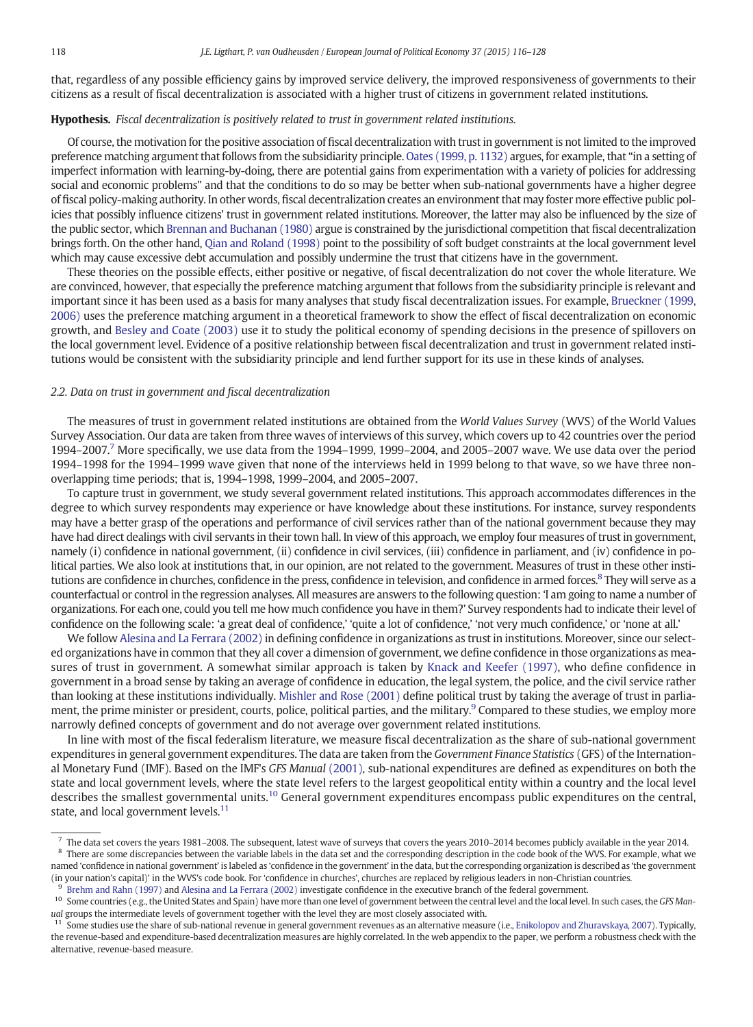that, regardless of any possible efficiency gains by improved service delivery, the improved responsiveness of governments to their citizens as a result of fiscal decentralization is associated with a higher trust of citizens in government related institutions.

#### Hypothesis. Fiscal decentralization is positively related to trust in government related institutions.

Of course, the motivation for the positive association of fiscal decentralization with trust in government is not limited to the improved preference matching argument that follows from the subsidiarity principle. [Oates \(1999, p. 1132\)](#page-12-0) argues, for example, that "in a setting of imperfect information with learning-by-doing, there are potential gains from experimentation with a variety of policies for addressing social and economic problems" and that the conditions to do so may be better when sub-national governments have a higher degree of fiscal policy-making authority. In other words, fiscal decentralization creates an environment that may foster more effective public policies that possibly influence citizens' trust in government related institutions. Moreover, the latter may also be influenced by the size of the public sector, which [Brennan and Buchanan \(1980\)](#page-11-0) argue is constrained by the jurisdictional competition that fiscal decentralization brings forth. On the other hand, [Qian and Roland \(1998\)](#page-12-0) point to the possibility of soft budget constraints at the local government level which may cause excessive debt accumulation and possibly undermine the trust that citizens have in the government.

These theories on the possible effects, either positive or negative, of fiscal decentralization do not cover the whole literature. We are convinced, however, that especially the preference matching argument that follows from the subsidiarity principle is relevant and important since it has been used as a basis for many analyses that study fiscal decentralization issues. For example, [Brueckner \(1999,](#page-11-0) [2006\)](#page-11-0) uses the preference matching argument in a theoretical framework to show the effect of fiscal decentralization on economic growth, and [Besley and Coate \(2003\)](#page-11-0) use it to study the political economy of spending decisions in the presence of spillovers on the local government level. Evidence of a positive relationship between fiscal decentralization and trust in government related institutions would be consistent with the subsidiarity principle and lend further support for its use in these kinds of analyses.

#### 2.2. Data on trust in government and fiscal decentralization

The measures of trust in government related institutions are obtained from the World Values Survey (WVS) of the World Values Survey Association. Our data are taken from three waves of interviews of this survey, which covers up to 42 countries over the period  $1994-2007$ .<sup>7</sup> More specifically, we use data from the 1994–1999, 1999–2004, and 2005–2007 wave. We use data over the period 1994–1998 for the 1994–1999 wave given that none of the interviews held in 1999 belong to that wave, so we have three nonoverlapping time periods; that is, 1994–1998, 1999–2004, and 2005–2007.

To capture trust in government, we study several government related institutions. This approach accommodates differences in the degree to which survey respondents may experience or have knowledge about these institutions. For instance, survey respondents may have a better grasp of the operations and performance of civil services rather than of the national government because they may have had direct dealings with civil servants in their town hall. In view of this approach, we employ four measures of trust in government, namely (i) confidence in national government, (ii) confidence in civil services, (iii) confidence in parliament, and (iv) confidence in political parties. We also look at institutions that, in our opinion, are not related to the government. Measures of trust in these other institutions are confidence in churches, confidence in the press, confidence in television, and confidence in armed forces.<sup>8</sup> They will serve as a counterfactual or control in the regression analyses. All measures are answers to the following question: 'I am going to name a number of organizations. For each one, could you tell me how much confidence you have in them?' Survey respondents had to indicate their level of confidence on the following scale: 'a great deal of confidence,' 'quite a lot of confidence,' 'not very much confidence,' or 'none at all.'

We follow [Alesina and La Ferrara \(2002\)](#page-11-0) in defining confidence in organizations as trust in institutions. Moreover, since our selected organizations have in common that they all cover a dimension of government, we define confidence in those organizations as measures of trust in government. A somewhat similar approach is taken by [Knack and Keefer \(1997\)](#page-11-0), who define confidence in government in a broad sense by taking an average of confidence in education, the legal system, the police, and the civil service rather than looking at these institutions individually. [Mishler and Rose \(2001\)](#page-12-0) define political trust by taking the average of trust in parliament, the prime minister or president, courts, police, political parties, and the military.<sup>9</sup> Compared to these studies, we employ more narrowly defined concepts of government and do not average over government related institutions.

In line with most of the fiscal federalism literature, we measure fiscal decentralization as the share of sub-national government expenditures in general government expenditures. The data are taken from the Government Finance Statistics (GFS) of the International Monetary Fund (IMF). Based on the IMF's GFS Manual [\(2001\)](#page-11-0), sub-national expenditures are defined as expenditures on both the state and local government levels, where the state level refers to the largest geopolitical entity within a country and the local level describes the smallest governmental units.10 General government expenditures encompass public expenditures on the central, state, and local government levels.<sup>11</sup>

 $^7$  The data set covers the years 1981–2008. The subsequent, latest wave of surveys that covers the years 2010–2014 becomes publicly available in the year 2014.  $8$  There are some discrepancies between the variable labels in the data set and the corresponding description in the code book of the WVS. For example, what we named 'confidence in national government' is labeled as 'confidence in the government' in the data, but the corresponding organization is described as 'the government (in your nation's capital)' in the WVS's code book. For 'confidence in churches', churches are replaced by religious leaders in non-Christian countries.

<sup>9</sup> [Brehm and Rahn \(1997\)](#page-11-0) and [Alesina and La Ferrara \(2002\)](#page-11-0) investigate confidence in the executive branch of the federal government.

<sup>&</sup>lt;sup>10</sup> Some countries (e.g., the United States and Spain) have more than one level of government between the central level and the local level. In such cases, the GFS Manual groups the intermediate levels of government together with the level they are most closely associated with.

 $11$  Some studies use the share of sub-national revenue in general government revenues as an alternative measure (i.e., [Enikolopov and Zhuravskaya, 2007\)](#page-11-0). Typically, the revenue-based and expenditure-based decentralization measures are highly correlated. In the web appendix to the paper, we perform a robustness check with the alternative, revenue-based measure.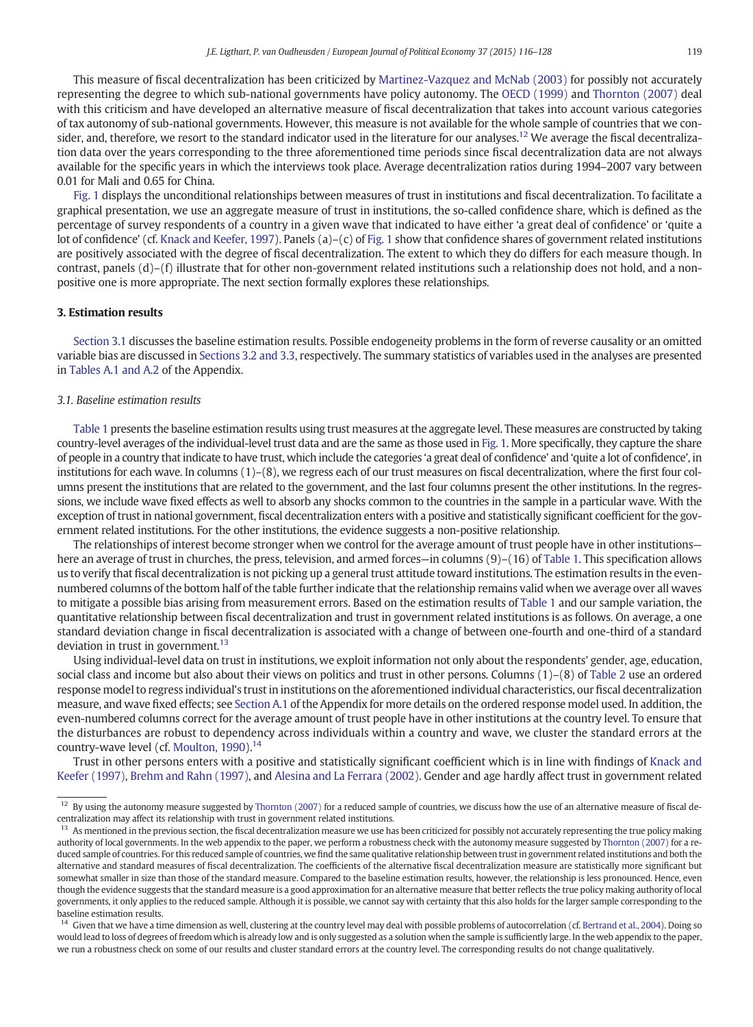<span id="page-3-0"></span>This measure of fiscal decentralization has been criticized by [Martinez-Vazquez and McNab \(2003\)](#page-12-0) for possibly not accurately representing the degree to which sub-national governments have policy autonomy. The [OECD \(1999\)](#page-12-0) and [Thornton \(2007\)](#page-12-0) deal with this criticism and have developed an alternative measure of fiscal decentralization that takes into account various categories of tax autonomy of sub-national governments. However, this measure is not available for the whole sample of countries that we consider, and, therefore, we resort to the standard indicator used in the literature for our analyses.<sup>12</sup> We average the fiscal decentralization data over the years corresponding to the three aforementioned time periods since fiscal decentralization data are not always available for the specific years in which the interviews took place. Average decentralization ratios during 1994–2007 vary between 0.01 for Mali and 0.65 for China.

[Fig. 1](#page-4-0) displays the unconditional relationships between measures of trust in institutions and fiscal decentralization. To facilitate a graphical presentation, we use an aggregate measure of trust in institutions, the so-called confidence share, which is defined as the percentage of survey respondents of a country in a given wave that indicated to have either 'a great deal of confidence' or 'quite a lot of confidence' (cf. [Knack and Keefer, 1997](#page-11-0)). Panels (a)–(c) of [Fig. 1](#page-4-0) show that confidence shares of government related institutions are positively associated with the degree of fiscal decentralization. The extent to which they do differs for each measure though. In contrast, panels (d)–(f) illustrate that for other non-government related institutions such a relationship does not hold, and a nonpositive one is more appropriate. The next section formally explores these relationships.

#### 3. Estimation results

Section 3.1 discusses the baseline estimation results. Possible endogeneity problems in the form of reverse causality or an omitted variable bias are discussed in [Sections 3.2 and 3.3](#page-5-0), respectively. The summary statistics of variables used in the analyses are presented in [Tables A.1 and A.2](#page-10-0) of the Appendix.

#### 3.1. Baseline estimation results

[Table 1](#page-5-0) presents the baseline estimation results using trust measures at the aggregate level. These measures are constructed by taking country-level averages of the individual-level trust data and are the same as those used in [Fig. 1](#page-4-0). More specifically, they capture the share of people in a country that indicate to have trust, which include the categories 'a great deal of confidence' and 'quite a lot of confidence', in institutions for each wave. In columns (1)–(8), we regress each of our trust measures on fiscal decentralization, where the first four columns present the institutions that are related to the government, and the last four columns present the other institutions. In the regressions, we include wave fixed effects as well to absorb any shocks common to the countries in the sample in a particular wave. With the exception of trust in national government, fiscal decentralization enters with a positive and statistically significant coefficient for the government related institutions. For the other institutions, the evidence suggests a non-positive relationship.

The relationships of interest become stronger when we control for the average amount of trust people have in other institutions— here an average of trust in churches, the press, television, and armed forces—in columns (9)–(16) of [Table 1](#page-5-0). This specification allows us to verify that fiscal decentralization is not picking up a general trust attitude toward institutions. The estimation results in the evennumbered columns of the bottom half of the table further indicate that the relationship remains valid when we average over all waves to mitigate a possible bias arising from measurement errors. Based on the estimation results of [Table 1](#page-5-0) and our sample variation, the quantitative relationship between fiscal decentralization and trust in government related institutions is as follows. On average, a one standard deviation change in fiscal decentralization is associated with a change of between one-fourth and one-third of a standard deviation in trust in government. $13$ 

Using individual-level data on trust in institutions, we exploit information not only about the respondents' gender, age, education, social class and income but also about their views on politics and trust in other persons. Columns (1)–(8) of [Table 2](#page-6-0) use an ordered response model to regress individual's trust in institutions on the aforementioned individual characteristics, our fiscal decentralization measure, and wave fixed effects; see [Section A.1](#page-10-0) of the Appendix for more details on the ordered response model used. In addition, the even-numbered columns correct for the average amount of trust people have in other institutions at the country level. To ensure that the disturbances are robust to dependency across individuals within a country and wave, we cluster the standard errors at the country-wave level (cf. Moulton,  $1990$ ).<sup>14</sup>

Trust in other persons enters with a positive and statistically significant coefficient which is in line with findings of [Knack and](#page-11-0) [Keefer \(1997\),](#page-11-0) [Brehm and Rahn \(1997\),](#page-11-0) and [Alesina and La Ferrara \(2002\).](#page-11-0) Gender and age hardly affect trust in government related

<sup>&</sup>lt;sup>12</sup> By using the autonomy measure suggested by [Thornton \(2007\)](#page-12-0) for a reduced sample of countries, we discuss how the use of an alternative measure of fiscal decentralization may affect its relationship with trust in government related institutions.

<sup>&</sup>lt;sup>13</sup> As mentioned in the previous section, the fiscal decentralization measure we use has been criticized for possibly not accurately representing the true policy making authority of local governments. In the web appendix to the paper, we perform a robustness check with the autonomy measure suggested by [Thornton \(2007\)](#page-12-0) for a reduced sample of countries. For this reduced sample of countries, we find the same qualitative relationship between trust in government related institutions and both the alternative and standard measures of fiscal decentralization. The coefficients of the alternative fiscal decentralization measure are statistically more significant but somewhat smaller in size than those of the standard measure. Compared to the baseline estimation results, however, the relationship is less pronounced. Hence, even though the evidence suggests that the standard measure is a good approximation for an alternative measure that better reflects the true policy making authority of local governments, it only applies to the reduced sample. Although it is possible, we cannot say with certainty that this also holds for the larger sample corresponding to the baseline estimation results.

 $14$  Given that we have a time dimension as well, clustering at the country level may deal with possible problems of autocorrelation (cf. [Bertrand et al., 2004\)](#page-11-0). Doing so would lead to loss of degrees of freedom which is already low and is only suggested as a solution when the sample is sufficiently large. In the web appendix to the paper, we run a robustness check on some of our results and cluster standard errors at the country level. The corresponding results do not change qualitatively.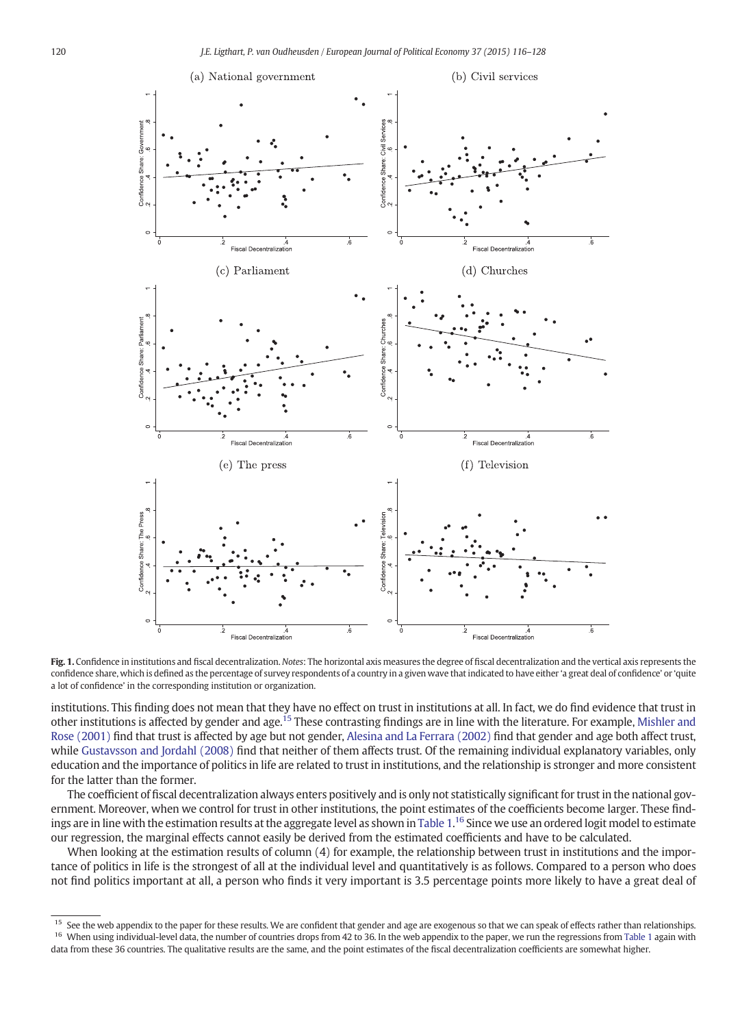<span id="page-4-0"></span>

Fig. 1. Confidence in institutions and fiscal decentralization. Notes: The horizontal axis measures the degree of fiscal decentralization and the vertical axis represents the confidence share, which is defined as the percentage of survey respondents of a country in a given wave that indicated to have either 'a great deal of confidence' or 'quite a lot of confidence' in the corresponding institution or organization.

institutions. This finding does not mean that they have no effect on trust in institutions at all. In fact, we do find evidence that trust in other institutions is affected by gender and age.<sup>15</sup> These contrasting findings are in line with the literature. For example, [Mishler and](#page-12-0) [Rose \(2001\)](#page-12-0) find that trust is affected by age but not gender, [Alesina and La Ferrara \(2002\)](#page-11-0) find that gender and age both affect trust, while [Gustavsson and Jordahl \(2008\)](#page-11-0) find that neither of them affects trust. Of the remaining individual explanatory variables, only education and the importance of politics in life are related to trust in institutions, and the relationship is stronger and more consistent for the latter than the former.

The coefficient of fiscal decentralization always enters positively and is only not statistically significant for trust in the national government. Moreover, when we control for trust in other institutions, the point estimates of the coefficients become larger. These find-ings are in line with the estimation results at the aggregate level as shown in [Table 1](#page-5-0). $^{16}$  Since we use an ordered logit model to estimate our regression, the marginal effects cannot easily be derived from the estimated coefficients and have to be calculated.

When looking at the estimation results of column (4) for example, the relationship between trust in institutions and the importance of politics in life is the strongest of all at the individual level and quantitatively is as follows. Compared to a person who does not find politics important at all, a person who finds it very important is 3.5 percentage points more likely to have a great deal of

<sup>&</sup>lt;sup>15</sup> See the web appendix to the paper for these results. We are confident that gender and age are exogenous so that we can speak of effects rather than relationships. <sup>16</sup> When using individual-level data, the number of countries drops from 42 to 36. In the web appendix to the paper, we run the regressions from [Table 1](#page-5-0) again with data from these 36 countries. The qualitative results are the same, and the point estimates of the fiscal decentralization coefficients are somewhat higher.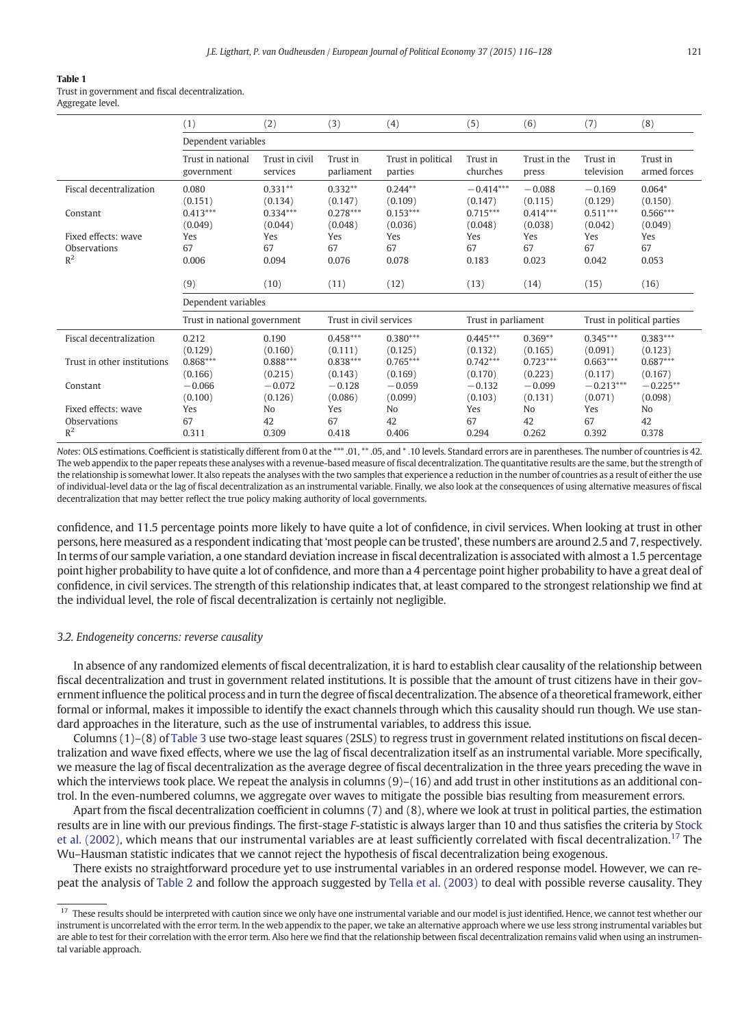<span id="page-5-0"></span>Trust in government and fiscal decentralization. Aggregate level.

|                             | (1)                          | (2)            | (3)                     | (4)                | (5)                 | (6)          | (7)                        | (8)            |
|-----------------------------|------------------------------|----------------|-------------------------|--------------------|---------------------|--------------|----------------------------|----------------|
|                             | Dependent variables          |                |                         |                    |                     |              |                            |                |
|                             | Trust in national            | Trust in civil | Trust in                | Trust in political | Trust in            | Trust in the | Trust in                   | Trust in       |
|                             | government                   | services       | parliament              | parties            | churches            | press        | television                 | armed forces   |
| Fiscal decentralization     | 0.080                        | $0.331**$      | $0.332**$               | $0.244**$          | $-0.414***$         | $-0.088$     | $-0.169$                   | $0.064*$       |
|                             | (0.151)                      | (0.134)        | (0.147)                 | (0.109)            | (0.147)             | (0.115)      | (0.129)                    | (0.150)        |
| Constant                    | $0.413***$                   | $0.334***$     | $0.278***$              | $0.153***$         | $0.715***$          | $0.414***$   | $0.511***$                 | $0.566***$     |
|                             | (0.049)                      | (0.044)        | (0.048)                 | (0.036)            | (0.048)             | (0.038)      | (0.042)                    | (0.049)        |
| Fixed effects: wave         | Yes                          | Yes            | Yes                     | Yes                | Yes                 | Yes          | Yes                        | Yes            |
| Observations                | 67                           | 67             | 67                      | 67                 | 67                  | 67           | 67                         | 67             |
| $R^2$                       | 0.006                        | 0.094          | 0.076                   | 0.078              | 0.183               | 0.023        | 0.042                      | 0.053          |
|                             | (9)                          | (10)           | (11)                    | (12)               | (13)                | (14)         | (15)                       | (16)           |
|                             | Dependent variables          |                |                         |                    |                     |              |                            |                |
|                             | Trust in national government |                | Trust in civil services |                    | Trust in parliament |              | Trust in political parties |                |
| Fiscal decentralization     | 0.212                        | 0.190          | $0.458***$              | $0.380***$         | $0.445***$          | $0.369**$    | $0.345***$                 | $0.383***$     |
|                             | (0.129)                      | (0.160)        | (0.111)                 | (0.125)            | (0.132)             | (0.165)      | (0.091)                    | (0.123)        |
| Trust in other institutions | $0.868***$                   | $0.888***$     | $0.838***$              | $0.765***$         | $0.742***$          | $0.723***$   | $0.663***$                 | $0.687***$     |
|                             | (0.166)                      | (0.215)        | (0.143)                 | (0.169)            | (0.170)             | (0.223)      | (0.117)                    | (0.167)        |
| Constant                    | $-0.066$                     | $-0.072$       | $-0.128$                | $-0.059$           | $-0.132$            | $-0.099$     | $-0.213***$                | $-0.225**$     |
|                             | (0.100)                      | (0.126)        | (0.086)                 | (0.099)            | (0.103)             | (0.131)      | (0.071)                    | (0.098)        |
| Fixed effects: wave         | Yes                          | No             | Yes                     | No                 | Yes                 | No           | Yes                        | N <sub>0</sub> |
| Observations                | 67                           | 42             | 67                      | 42                 | 67                  | 42           | 67                         | 42             |
| $R^2$                       | 0.311                        | 0.309          | 0.418                   | 0.406              | 0.294               | 0.262        | 0.392                      | 0.378          |

Notes: OLS estimations. Coefficient is statistically different from 0 at the \*\*\* .01, \*\* .05, and \* .10 levels. Standard errors are in parentheses. The number of countries is 42. The web appendix to the paper repeats these analyses with a revenue-based measure of fiscal decentralization. The quantitative results are the same, but the strength of the relationship is somewhat lower. It also repeats the analyses with the two samples that experience a reduction in the number of countries as a result of either the use of individual-level data or the lag of fiscal decentralization as an instrumental variable. Finally, we also look at the consequences of using alternative measures of fiscal decentralization that may better reflect the true policy making authority of local governments.

confidence, and 11.5 percentage points more likely to have quite a lot of confidence, in civil services. When looking at trust in other persons, here measured as a respondent indicating that'most people can be trusted', these numbers are around 2.5 and 7, respectively. In terms of our sample variation, a one standard deviation increase in fiscal decentralization is associated with almost a 1.5 percentage point higher probability to have quite a lot of confidence, and more than a 4 percentage point higher probability to have a great deal of confidence, in civil services. The strength of this relationship indicates that, at least compared to the strongest relationship we find at the individual level, the role of fiscal decentralization is certainly not negligible.

#### 3.2. Endogeneity concerns: reverse causality

In absence of any randomized elements of fiscal decentralization, it is hard to establish clear causality of the relationship between fiscal decentralization and trust in government related institutions. It is possible that the amount of trust citizens have in their government influence the political process and in turn the degree of fiscal decentralization. The absence of a theoretical framework, either formal or informal, makes it impossible to identify the exact channels through which this causality should run though. We use standard approaches in the literature, such as the use of instrumental variables, to address this issue.

Columns (1)–(8) of [Table 3](#page-7-0) use two-stage least squares (2SLS) to regress trust in government related institutions on fiscal decentralization and wave fixed effects, where we use the lag of fiscal decentralization itself as an instrumental variable. More specifically, we measure the lag of fiscal decentralization as the average degree of fiscal decentralization in the three years preceding the wave in which the interviews took place. We repeat the analysis in columns (9)–(16) and add trust in other institutions as an additional control. In the even-numbered columns, we aggregate over waves to mitigate the possible bias resulting from measurement errors.

Apart from the fiscal decentralization coefficient in columns (7) and (8), where we look at trust in political parties, the estimation results are in line with our previous findings. The first-stage F-statistic is always larger than 10 and thus satisfies the criteria by [Stock](#page-12-0) [et al. \(2002\),](#page-12-0) which means that our instrumental variables are at least sufficiently correlated with fiscal decentralization.<sup>17</sup> The Wu–Hausman statistic indicates that we cannot reject the hypothesis of fiscal decentralization being exogenous.

There exists no straightforward procedure yet to use instrumental variables in an ordered response model. However, we can repeat the analysis of [Table 2](#page-6-0) and follow the approach suggested by [Tella et al. \(2003\)](#page-12-0) to deal with possible reverse causality. They

<sup>&</sup>lt;sup>17</sup> These results should be interpreted with caution since we only have one instrumental variable and our model is just identified. Hence, we cannot test whether our instrument is uncorrelated with the error term. In the web appendix to the paper, we take an alternative approach where we use less strong instrumental variables but are able to test for their correlation with the error term. Also here we find that the relationship between fiscal decentralization remains valid when using an instrumental variable approach.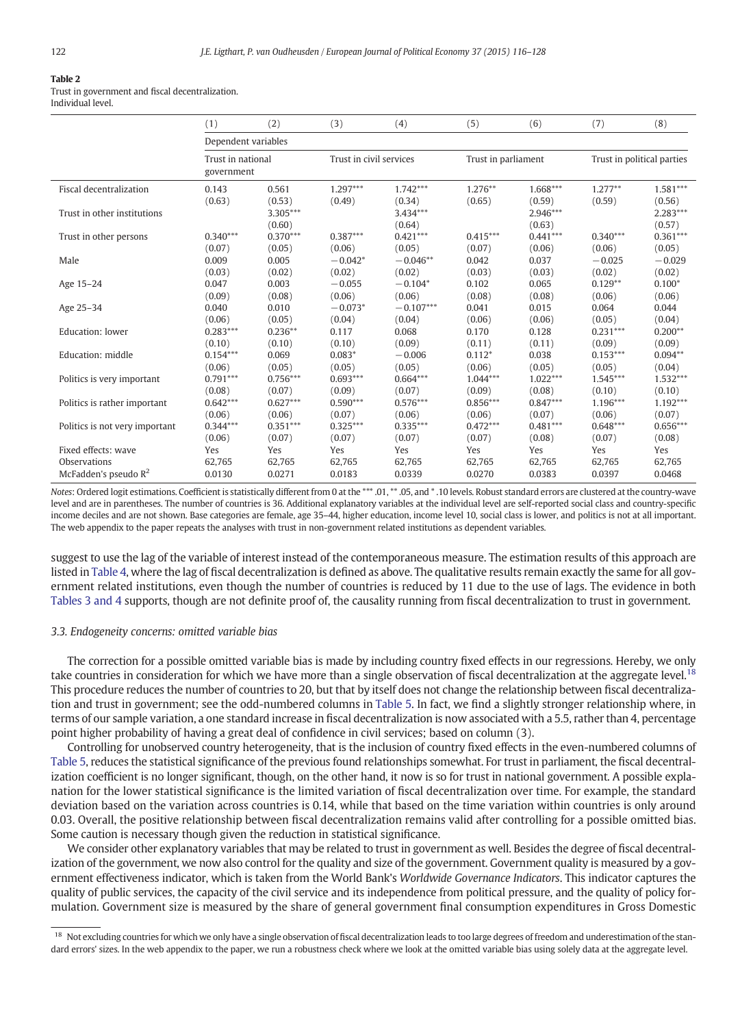<span id="page-6-0"></span>Trust in government and fiscal decentralization. Individual level.

|                                | (1)                             | (2)                            | (3)                            | (4)                            | (5)                            | (6)                            | (7)                            | (8)                            |
|--------------------------------|---------------------------------|--------------------------------|--------------------------------|--------------------------------|--------------------------------|--------------------------------|--------------------------------|--------------------------------|
|                                | Dependent variables             |                                |                                |                                |                                |                                |                                |                                |
|                                | Trust in national<br>government |                                | Trust in civil services        |                                | Trust in parliament            |                                | Trust in political parties     |                                |
| Fiscal decentralization        | 0.143                           | 0.561                          | $1.297***$                     | $1.742***$                     | $1.276***$                     | $1.668***$                     | $1.277**$                      | $1.581***$                     |
| Trust in other institutions    | (0.63)                          | (0.53)<br>$3.305***$<br>(0.60) | (0.49)                         | (0.34)<br>$3.434***$<br>(0.64) | (0.65)                         | (0.59)<br>$2.946***$<br>(0.63) | (0.59)                         | (0.56)<br>$2.283***$<br>(0.57) |
| Trust in other persons         | $0.340***$                      | $0.370***$                     | $0.387***$                     | $0.421***$                     | $0.415***$                     | $0.441***$                     | $0.340***$                     | $0.361***$                     |
| Male                           | (0.07)<br>0.009                 | (0.05)<br>0.005                | (0.06)<br>$-0.042*$            | (0.05)<br>$-0.046**$           | (0.07)<br>0.042                | (0.06)<br>0.037                | (0.06)<br>$-0.025$             | (0.05)<br>$-0.029$             |
|                                | (0.03)                          | (0.02)                         | (0.02)                         | (0.02)                         | (0.03)                         | (0.03)                         | (0.02)                         | (0.02)                         |
| Age 15-24                      | 0.047                           | 0.003                          | $-0.055$                       | $-0.104*$                      | 0.102                          | 0.065                          | $0.129**$                      | $0.100*$                       |
| Age 25-34                      | (0.09)<br>0.040                 | (0.08)<br>0.010                | (0.06)<br>$-0.073*$            | (0.06)<br>$-0.107***$          | (0.08)<br>0.041                | (0.08)<br>0.015                | (0.06)<br>0.064                | (0.06)<br>0.044                |
|                                | (0.06)                          | (0.05)                         | (0.04)                         | (0.04)                         | (0.06)                         | (0.06)                         | (0.05)                         | (0.04)                         |
| Education: lower               | $0.283***$                      | $0.236***$                     | 0.117                          | 0.068                          | 0.170                          | 0.128                          | $0.231***$                     | $0.200**$                      |
|                                | (0.10)                          | (0.10)                         | (0.10)                         | (0.09)                         | (0.11)                         | (0.11)                         | (0.09)                         | (0.09)                         |
| Education: middle              | $0.154***$                      | 0.069                          | $0.083*$                       | $-0.006$                       | $0.112*$                       | 0.038                          | $0.153***$                     | $0.094**$                      |
| Politics is very important     | (0.06)<br>$0.791***$            | (0.05)<br>$0.756***$           | (0.05)<br>$0.693***$           | (0.05)<br>$0.664***$           | (0.06)<br>$1.044***$           | (0.05)<br>$1.022***$           | (0.05)<br>$1.545***$           | (0.04)<br>$1.532***$           |
|                                | (0.08)                          | (0.07)                         | (0.09)                         | (0.07)                         | (0.09)                         | (0.08)                         | (0.10)                         | (0.10)                         |
| Politics is rather important   | $0.642***$                      | $0.627***$                     | $0.590***$                     | $0.576***$                     | $0.856***$                     | $0.847***$                     | $1.196***$                     | $1.192***$                     |
| Politics is not very important | (0.06)<br>$0.344***$<br>(0.06)  | (0.06)<br>$0.351***$<br>(0.07) | (0.07)<br>$0.325***$<br>(0.07) | (0.06)<br>$0.335***$<br>(0.07) | (0.06)<br>$0.472***$<br>(0.07) | (0.07)<br>$0.481***$<br>(0.08) | (0.06)<br>$0.648***$<br>(0.07) | (0.07)<br>$0.656***$<br>(0.08) |
| Fixed effects: wave            | Yes                             | Yes                            | <b>Yes</b>                     | Yes                            | Yes                            | Yes                            | Yes                            | Yes                            |
| Observations                   | 62,765                          | 62,765                         | 62,765                         | 62,765                         | 62,765                         | 62,765                         | 62,765                         | 62,765                         |
| McFadden's pseudo $R^2$        | 0.0130                          | 0.0271                         | 0.0183                         | 0.0339                         | 0.0270                         | 0.0383                         | 0.0397                         | 0.0468                         |

Notes: Ordered logit estimations. Coefficient is statistically different from 0 at the \*\*\* .01, \*\* .05, and \* .10 levels. Robust standard errors are clustered at the country-wave level and are in parentheses. The number of countries is 36. Additional explanatory variables at the individual level are self-reported social class and country-specific income deciles and are not shown. Base categories are female, age 35–44, higher education, income level 10, social class is lower, and politics is not at all important. The web appendix to the paper repeats the analyses with trust in non-government related institutions as dependent variables.

suggest to use the lag of the variable of interest instead of the contemporaneous measure. The estimation results of this approach are listed in [Table 4](#page-8-0), where the lag of fiscal decentralization is defined as above. The qualitative results remain exactly the same for all government related institutions, even though the number of countries is reduced by 11 due to the use of lags. The evidence in both [Tables 3 and 4](#page-7-0) supports, though are not definite proof of, the causality running from fiscal decentralization to trust in government.

#### 3.3. Endogeneity concerns: omitted variable bias

The correction for a possible omitted variable bias is made by including country fixed effects in our regressions. Hereby, we only take countries in consideration for which we have more than a single observation of fiscal decentralization at the aggregate level.<sup>18</sup> This procedure reduces the number of countries to 20, but that by itself does not change the relationship between fiscal decentralization and trust in government; see the odd-numbered columns in [Table 5.](#page-9-0) In fact, we find a slightly stronger relationship where, in terms of our sample variation, a one standard increase in fiscal decentralization is now associated with a 5.5, rather than 4, percentage point higher probability of having a great deal of confidence in civil services; based on column (3).

Controlling for unobserved country heterogeneity, that is the inclusion of country fixed effects in the even-numbered columns of [Table 5](#page-9-0), reduces the statistical significance of the previous found relationships somewhat. For trust in parliament, the fiscal decentralization coefficient is no longer significant, though, on the other hand, it now is so for trust in national government. A possible explanation for the lower statistical significance is the limited variation of fiscal decentralization over time. For example, the standard deviation based on the variation across countries is 0.14, while that based on the time variation within countries is only around 0.03. Overall, the positive relationship between fiscal decentralization remains valid after controlling for a possible omitted bias. Some caution is necessary though given the reduction in statistical significance.

We consider other explanatory variables that may be related to trust in government as well. Besides the degree of fiscal decentralization of the government, we now also control for the quality and size of the government. Government quality is measured by a government effectiveness indicator, which is taken from the World Bank's Worldwide Governance Indicators. This indicator captures the quality of public services, the capacity of the civil service and its independence from political pressure, and the quality of policy formulation. Government size is measured by the share of general government final consumption expenditures in Gross Domestic

<sup>&</sup>lt;sup>18</sup> Not excluding countries for which we only have a single observation of fiscal decentralization leads to too large degrees of freedom and underestimation of the standard errors' sizes. In the web appendix to the paper, we run a robustness check where we look at the omitted variable bias using solely data at the aggregate level.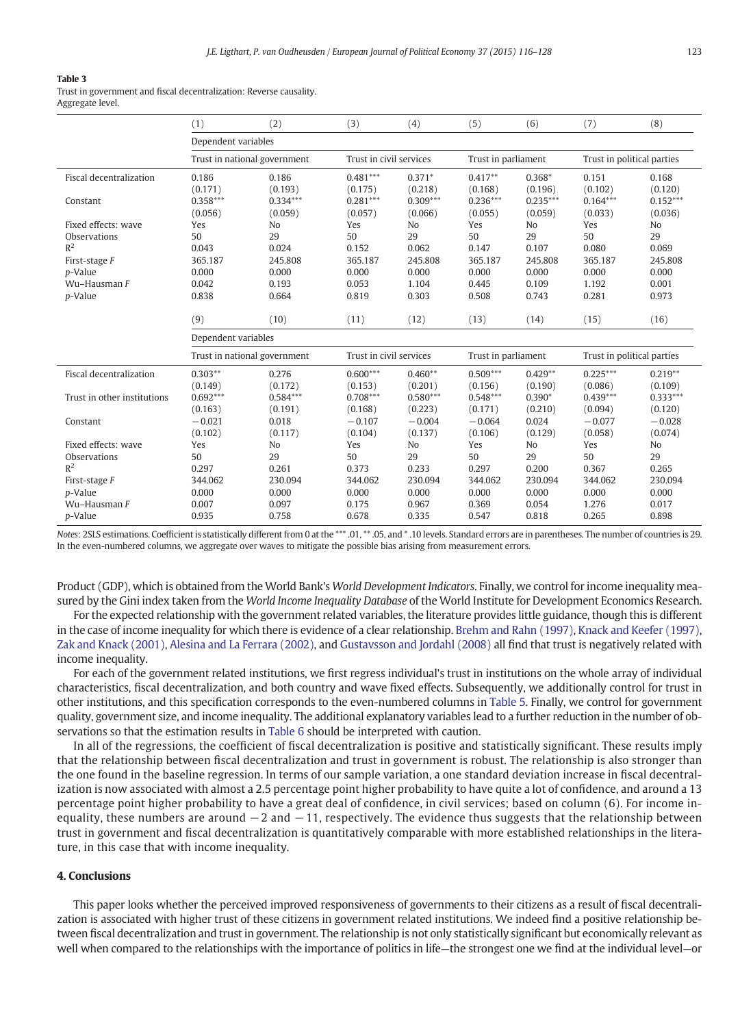<span id="page-7-0"></span>Trust in government and fiscal decentralization: Reverse causality. Aggregate level.

|                                     | (1)                          | (2)                   | (3)                     | (4)                   | (5)                   | (6)                   | (7)                        | (8)                   |
|-------------------------------------|------------------------------|-----------------------|-------------------------|-----------------------|-----------------------|-----------------------|----------------------------|-----------------------|
|                                     | Dependent variables          |                       |                         |                       |                       |                       |                            |                       |
|                                     | Trust in national government |                       | Trust in civil services |                       | Trust in parliament   |                       | Trust in political parties |                       |
| Fiscal decentralization             | 0.186                        | 0.186                 | $0.481***$              | $0.371*$              | $0.417**$             | $0.368*$              | 0.151                      | 0.168                 |
| Constant                            | (0.171)<br>$0.358***$        | (0.193)<br>$0.334***$ | (0.175)<br>$0.281***$   | (0.218)<br>$0.309***$ | (0.168)<br>$0.236***$ | (0.196)<br>$0.235***$ | (0.102)<br>$0.164***$      | (0.120)<br>$0.152***$ |
|                                     | (0.056)                      | (0.059)               | (0.057)                 | (0.066)               | (0.055)               | (0.059)               | (0.033)                    | (0.036)               |
| Fixed effects: wave                 | Yes                          | N <sub>o</sub>        | Yes                     | N <sub>o</sub>        | Yes                   | N <sub>o</sub>        | Yes                        | N <sub>o</sub>        |
| <b>Observations</b>                 | 50                           | 29                    | 50                      | 29                    | 50                    | 29                    | 50                         | 29                    |
| $R^2$<br>First-stage F              | 0.043<br>365.187             | 0.024<br>245.808      | 0.152<br>365.187        | 0.062<br>245.808      | 0.147<br>365.187      | 0.107<br>245.808      | 0.080<br>365.187           | 0.069<br>245.808      |
| p-Value                             | 0.000                        | 0.000                 | 0.000                   | 0.000                 | 0.000                 | 0.000                 | 0.000                      | 0.000                 |
| Wu-Hausman F                        | 0.042                        | 0.193                 | 0.053                   | 1.104                 | 0.445                 | 0.109                 | 1.192                      | 0.001                 |
| p-Value                             | 0.838                        | 0.664                 | 0.819                   | 0.303                 | 0.508                 | 0.743                 | 0.281                      | 0.973                 |
|                                     | (9)                          | (10)                  | (11)                    | (12)                  | (13)                  | (14)                  | (15)                       | (16)                  |
|                                     | Dependent variables          |                       |                         |                       |                       |                       |                            |                       |
|                                     | Trust in national government |                       | Trust in civil services |                       | Trust in parliament   |                       | Trust in political parties |                       |
|                                     |                              |                       |                         |                       |                       |                       |                            |                       |
| <b>Fiscal decentralization</b>      | $0.303**$<br>(0.149)         | 0.276<br>(0.172)      | $0.600***$              | $0.460**$             | $0.509***$<br>(0.156) | $0.429**$             | $0.225***$                 | $0.219**$             |
| Trust in other institutions         | $0.692***$                   | $0.584***$            | (0.153)<br>$0.708***$   | (0.201)<br>$0.580***$ | $0.548***$            | (0.190)<br>$0.390*$   | (0.086)<br>$0.439***$      | (0.109)<br>$0.333***$ |
|                                     | (0.163)                      | (0.191)               | (0.168)                 | (0.223)               | (0.171)               | (0.210)               | (0.094)                    | (0.120)               |
| Constant                            | $-0.021$                     | 0.018                 | $-0.107$                | $-0.004$              | $-0.064$              | 0.024                 | $-0.077$                   | $-0.028$              |
|                                     | (0.102)                      | (0.117)               | (0.104)                 | (0.137)               | (0.106)               | (0.129)               | (0.058)                    | (0.074)               |
| Fixed effects: wave<br>Observations | Yes<br>50                    | No<br>29              | Yes<br>50               | N <sub>o</sub><br>29  | Yes<br>50             | N <sub>o</sub><br>29  | Yes<br>50                  | No<br>29              |
| R <sup>2</sup>                      | 0.297                        | 0.261                 | 0.373                   | 0.233                 | 0.297                 | 0.200                 | 0.367                      | 0.265                 |
| First-stage F                       | 344.062                      | 230.094               | 344.062                 | 230.094               | 344.062               | 230.094               | 344.062                    | 230.094               |
| <i>p</i> -Value                     | 0.000                        | 0.000                 | 0.000                   | 0.000                 | 0.000                 | 0.000                 | 0.000                      | 0.000                 |
| Wu-Hausman F                        | 0.007                        | 0.097                 | 0.175                   | 0.967                 | 0.369                 | 0.054                 | 1.276                      | 0.017                 |
| p-Value                             | 0.935                        | 0.758                 | 0.678                   | 0.335                 | 0.547                 | 0.818                 | 0.265                      | 0.898                 |

Notes: 2SLS estimations. Coefficient is statistically different from 0 at the \*\*\* .01, \*\* .05, and \* .10 levels. Standard errors are in parentheses. The number of countries is 29. In the even-numbered columns, we aggregate over waves to mitigate the possible bias arising from measurement errors.

Product (GDP), which is obtained from the World Bank's World Development Indicators. Finally, we control for income inequality measured by the Gini index taken from the World Income Inequality Database of the World Institute for Development Economics Research.

For the expected relationship with the government related variables, the literature provides little guidance, though this is different in the case of income inequality for which there is evidence of a clear relationship. [Brehm and Rahn \(1997\),](#page-11-0) [Knack and Keefer \(1997\),](#page-11-0) [Zak and Knack \(2001\)](#page-12-0), [Alesina and La Ferrara \(2002\),](#page-11-0) and [Gustavsson and Jordahl \(2008\)](#page-11-0) all find that trust is negatively related with income inequality.

For each of the government related institutions, we first regress individual's trust in institutions on the whole array of individual characteristics, fiscal decentralization, and both country and wave fixed effects. Subsequently, we additionally control for trust in other institutions, and this specification corresponds to the even-numbered columns in [Table 5.](#page-9-0) Finally, we control for government quality, government size, and income inequality. The additional explanatory variables lead to a further reduction in the number of observations so that the estimation results in [Table 6](#page-9-0) should be interpreted with caution.

In all of the regressions, the coefficient of fiscal decentralization is positive and statistically significant. These results imply that the relationship between fiscal decentralization and trust in government is robust. The relationship is also stronger than the one found in the baseline regression. In terms of our sample variation, a one standard deviation increase in fiscal decentralization is now associated with almost a 2.5 percentage point higher probability to have quite a lot of confidence, and around a 13 percentage point higher probability to have a great deal of confidence, in civil services; based on column (6). For income inequality, these numbers are around −2 and −11, respectively. The evidence thus suggests that the relationship between trust in government and fiscal decentralization is quantitatively comparable with more established relationships in the literature, in this case that with income inequality.

#### 4. Conclusions

This paper looks whether the perceived improved responsiveness of governments to their citizens as a result of fiscal decentralization is associated with higher trust of these citizens in government related institutions. We indeed find a positive relationship between fiscal decentralization and trust in government. The relationship is not only statistically significant but economically relevant as well when compared to the relationships with the importance of politics in life—the strongest one we find at the individual level—or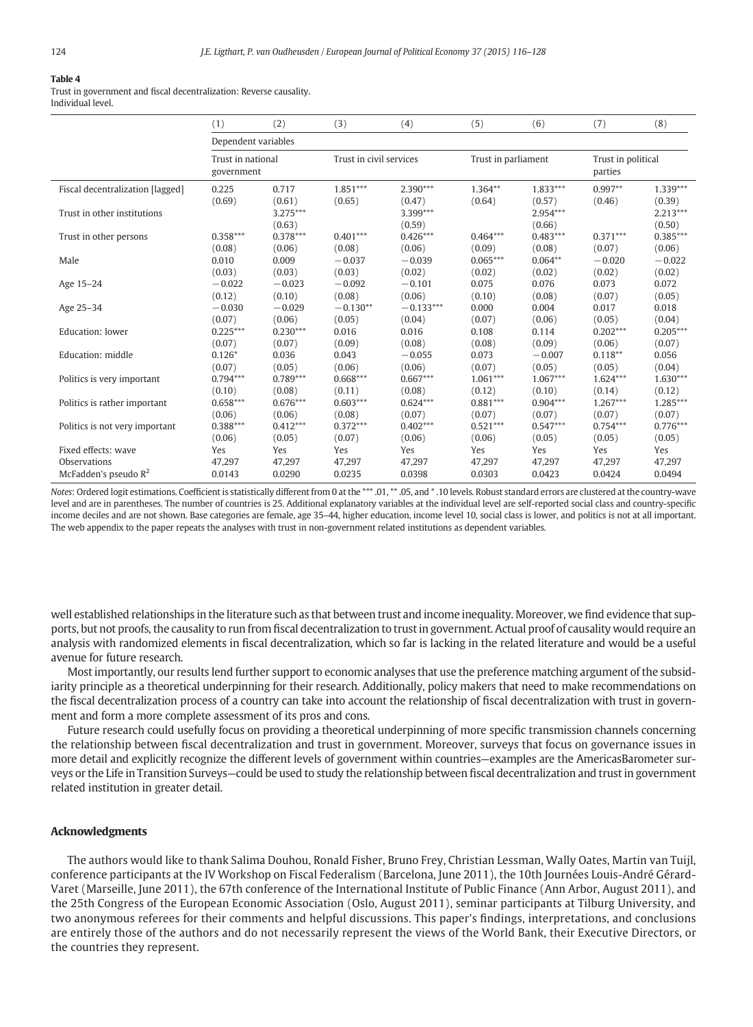<span id="page-8-0"></span>Trust in government and fiscal decentralization: Reverse causality. Individual level.

|                                  | (1)                             | (2)                            | (3)                     | (4)                          | (5)                 | (6)                            | (7)                           | (8)                            |
|----------------------------------|---------------------------------|--------------------------------|-------------------------|------------------------------|---------------------|--------------------------------|-------------------------------|--------------------------------|
|                                  | Dependent variables             |                                |                         |                              |                     |                                |                               |                                |
|                                  | Trust in national<br>government |                                | Trust in civil services |                              | Trust in parliament |                                | Trust in political<br>parties |                                |
| Fiscal decentralization [lagged] | 0.225                           | 0.717                          | $1.851***$              | 2.390***                     | $1.364**$           | $1.833***$                     | $0.997**$                     | $1.339***$                     |
| Trust in other institutions      | (0.69)                          | (0.61)<br>$3.275***$<br>(0.63) | (0.65)                  | (0.47)<br>3.399***<br>(0.59) | (0.64)              | (0.57)<br>$2.954***$<br>(0.66) | (0.46)                        | (0.39)<br>$2.213***$<br>(0.50) |
| Trust in other persons           | $0.358***$                      | $0.378***$                     | $0.401***$              | $0.426***$                   | $0.464***$          | $0.483***$                     | $0.371***$                    | $0.385***$                     |
| Male                             | (0.08)                          | (0.06)                         | (0.08)                  | (0.06)                       | (0.09)              | (0.08)                         | (0.07)                        | (0.06)                         |
|                                  | 0.010                           | 0.009                          | $-0.037$                | $-0.039$                     | $0.065***$          | $0.064**$                      | $-0.020$                      | $-0.022$                       |
| Age 15-24                        | (0.03)                          | (0.03)                         | (0.03)                  | (0.02)                       | (0.02)              | (0.02)                         | (0.02)                        | (0.02)                         |
|                                  | $-0.022$                        | $-0.023$                       | $-0.092$                | $-0.101$                     | 0.075               | 0.076                          | 0.073                         | 0.072                          |
|                                  | (0.12)                          | (0.10)                         | (0.08)                  | (0.06)                       | (0.10)              | (0.08)                         | (0.07)                        | (0.05)                         |
| Age 25-34                        | $-0.030$                        | $-0.029$                       | $-0.130**$              | $-0.133***$                  | 0.000               | 0.004                          | 0.017                         | 0.018                          |
| Education: lower                 | (0.07)                          | (0.06)                         | (0.05)                  | (0.04)                       | (0.07)              | (0.06)                         | (0.05)                        | (0.04)                         |
|                                  | $0.225***$                      | $0.230***$                     | 0.016                   | 0.016                        | 0.108               | 0.114                          | $0.202***$                    | $0.205***$                     |
|                                  | (0.07)                          | (0.07)                         | (0.09)                  | (0.08)                       | (0.08)              | (0.09)                         | (0.06)                        | (0.07)                         |
| Education: middle                | $0.126*$                        | 0.036                          | 0.043                   | $-0.055$                     | 0.073               | $-0.007$                       | $0.118**$                     | 0.056                          |
|                                  | (0.07)                          | (0.05)                         | (0.06)                  | (0.06)                       | (0.07)              | (0.05)                         | (0.05)                        | (0.04)                         |
| Politics is very important       | $0.794***$                      | $0.789***$                     | $0.668***$              | $0.667***$                   | $1.061***$          | $1.067***$                     | $1.624***$                    | $1.630***$                     |
|                                  | (0.10)                          | (0.08)                         | (0.11)                  | (0.08)                       | (0.12)              | (0.10)                         | (0.14)                        | (0.12)                         |
| Politics is rather important     | $0.658***$                      | $0.676***$                     | $0.603***$              | $0.624***$                   | $0.881***$          | $0.904***$                     | $1.267***$                    | $1.285***$                     |
|                                  | (0.06)                          | (0.06)                         | (0.08)                  | (0.07)                       | (0.07)              | (0.07)                         | (0.07)                        | (0.07)                         |
| Politics is not very important   | $0.388***$                      | $0.412***$                     | $0.372***$              | $0.402***$                   | $0.521***$          | $0.547***$                     | $0.754***$                    | $0.776***$                     |
|                                  | (0.06)                          | (0.05)                         | (0.07)                  | (0.06)                       | (0.06)              | (0.05)                         | (0.05)                        | (0.05)                         |
| Fixed effects: wave              | Yes                             | Yes                            | Yes                     | Yes                          | Yes                 | Yes                            | Yes                           | Yes                            |
| Observations                     | 47,297                          | 47,297                         | 47,297                  | 47,297                       | 47,297              | 47,297                         | 47,297                        | 47,297                         |
| McFadden's pseudo $R^2$          | 0.0143                          | 0.0290                         | 0.0235                  | 0.0398                       | 0.0303              | 0.0423                         | 0.0424                        | 0.0494                         |

Notes: Ordered logit estimations. Coefficient is statistically different from 0 at the \*\*\* .01, \*\* .05, and \* .10 levels. Robust standard errors are clustered at the country-wave level and are in parentheses. The number of countries is 25. Additional explanatory variables at the individual level are self-reported social class and country-specific income deciles and are not shown. Base categories are female, age 35–44, higher education, income level 10, social class is lower, and politics is not at all important. The web appendix to the paper repeats the analyses with trust in non-government related institutions as dependent variables.

well established relationships in the literature such as that between trust and income inequality. Moreover, we find evidence that supports, but not proofs, the causality to run from fiscal decentralization to trust in government. Actual proof of causality would require an analysis with randomized elements in fiscal decentralization, which so far is lacking in the related literature and would be a useful avenue for future research.

Most importantly, our results lend further support to economic analyses that use the preference matching argument of the subsidiarity principle as a theoretical underpinning for their research. Additionally, policy makers that need to make recommendations on the fiscal decentralization process of a country can take into account the relationship of fiscal decentralization with trust in government and form a more complete assessment of its pros and cons.

Future research could usefully focus on providing a theoretical underpinning of more specific transmission channels concerning the relationship between fiscal decentralization and trust in government. Moreover, surveys that focus on governance issues in more detail and explicitly recognize the different levels of government within countries—examples are the AmericasBarometer surveys or the Life in Transition Surveys—could be used to study the relationship between fiscal decentralization and trust in government related institution in greater detail.

#### Acknowledgments

The authors would like to thank Salima Douhou, Ronald Fisher, Bruno Frey, Christian Lessman, Wally Oates, Martin van Tuijl, conference participants at the IV Workshop on Fiscal Federalism (Barcelona, June 2011), the 10th Journées Louis-André Gérard-Varet (Marseille, June 2011), the 67th conference of the International Institute of Public Finance (Ann Arbor, August 2011), and the 25th Congress of the European Economic Association (Oslo, August 2011), seminar participants at Tilburg University, and two anonymous referees for their comments and helpful discussions. This paper's findings, interpretations, and conclusions are entirely those of the authors and do not necessarily represent the views of the World Bank, their Executive Directors, or the countries they represent.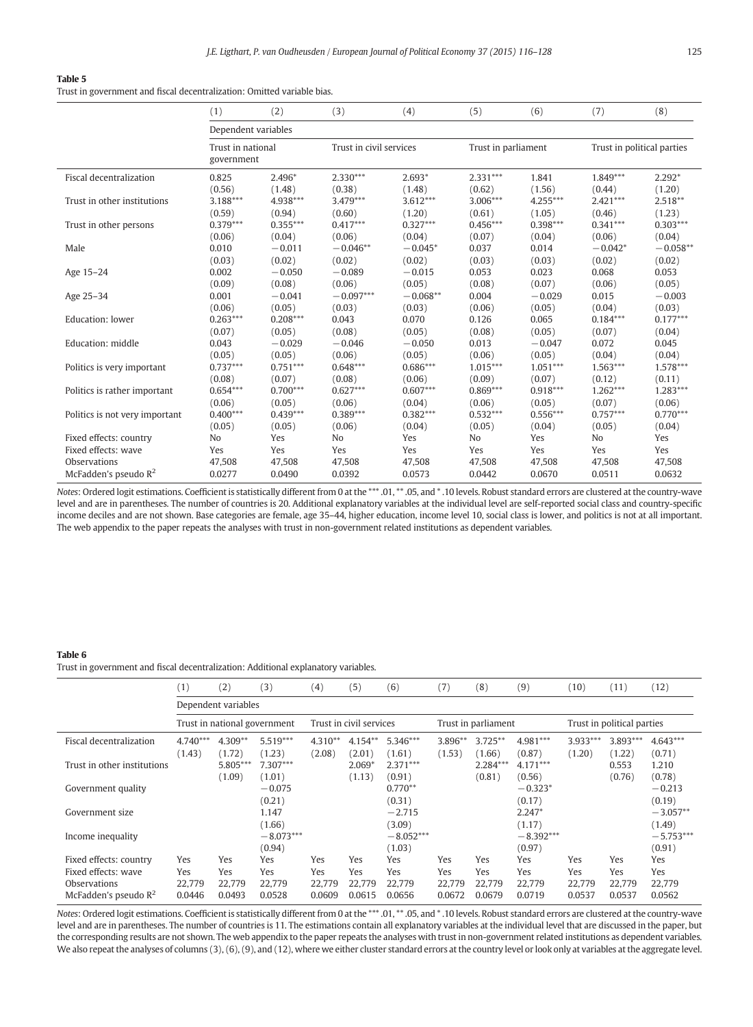<span id="page-9-0"></span>Trust in government and fiscal decentralization: Omitted variable bias.

|                                | (1)                             | (2)        | (3)                     | (4)        | (5)                 | (6)        | (7)                        | (8)        |
|--------------------------------|---------------------------------|------------|-------------------------|------------|---------------------|------------|----------------------------|------------|
|                                | Dependent variables             |            |                         |            |                     |            |                            |            |
|                                | Trust in national<br>government |            | Trust in civil services |            | Trust in parliament |            | Trust in political parties |            |
| Fiscal decentralization        | 0.825                           | 2.496*     | $2.330***$              | $2.693*$   | $2.331***$          | 1.841      | $1.849***$                 | $2.292*$   |
|                                | (0.56)                          | (1.48)     | (0.38)                  | (1.48)     | (0.62)              | (1.56)     | (0.44)                     | (1.20)     |
| Trust in other institutions    | $3.188***$                      | 4.938***   | $3.479***$              | $3.612***$ | 3.006***            | 4.255***   | $2.421***$                 | $2.518**$  |
|                                | (0.59)                          | (0.94)     | (0.60)                  | (1.20)     | (0.61)              | (1.05)     | (0.46)                     | (1.23)     |
| Trust in other persons         | $0.379***$                      | $0.355***$ | $0.417***$              | $0.327***$ | $0.456***$          | $0.398***$ | $0.341***$                 | $0.303***$ |
|                                | (0.06)                          | (0.04)     | (0.06)                  | (0.04)     | (0.07)              | (0.04)     | (0.06)                     | (0.04)     |
| Male                           | 0.010                           | $-0.011$   | $-0.046**$              | $-0.045*$  | 0.037               | 0.014      | $-0.042*$                  | $-0.058**$ |
|                                | (0.03)                          | (0.02)     | (0.02)                  | (0.02)     | (0.03)              | (0.03)     | (0.02)                     | (0.02)     |
| Age 15-24                      | 0.002                           | $-0.050$   | $-0.089$                | $-0.015$   | 0.053               | 0.023      | 0.068                      | 0.053      |
|                                | (0.09)                          | (0.08)     | (0.06)                  | (0.05)     | (0.08)              | (0.07)     | (0.06)                     | (0.05)     |
| Age 25-34                      | 0.001                           | $-0.041$   | $-0.097***$             | $-0.068**$ | 0.004               | $-0.029$   | 0.015                      | $-0.003$   |
|                                | (0.06)                          | (0.05)     | (0.03)                  | (0.03)     | (0.06)              | (0.05)     | (0.04)                     | (0.03)     |
| Education: lower               | $0.263***$                      | $0.208***$ | 0.043                   | 0.070      | 0.126               | 0.065      | $0.184***$                 | $0.177***$ |
|                                | (0.07)                          | (0.05)     | (0.08)                  | (0.05)     | (0.08)              | (0.05)     | (0.07)                     | (0.04)     |
| Education: middle              | 0.043                           | $-0.029$   | $-0.046$                | $-0.050$   | 0.013               | $-0.047$   | 0.072                      | 0.045      |
|                                | (0.05)                          | (0.05)     | (0.06)                  | (0.05)     | (0.06)              | (0.05)     | (0.04)                     | (0.04)     |
| Politics is very important     | $0.737***$                      | $0.751***$ | $0.648***$              | $0.686***$ | $1.015***$          | $1.051***$ | $1.563***$                 | 1.578***   |
|                                | (0.08)                          | (0.07)     | (0.08)                  | (0.06)     | (0.09)              | (0.07)     | (0.12)                     | (0.11)     |
| Politics is rather important   | $0.654***$                      | $0.700***$ | $0.627***$              | $0.607***$ | $0.869***$          | $0.918***$ | $1.262***$                 | $1.283***$ |
|                                | (0.06)                          | (0.05)     | (0.06)                  | (0.04)     | (0.06)              | (0.05)     | (0.07)                     | (0.06)     |
| Politics is not very important | $0.400***$                      | $0.439***$ | $0.389***$              | $0.382***$ | $0.532***$          | $0.556***$ | $0.757***$                 | $0.770***$ |
|                                | (0.05)                          | (0.05)     | (0.06)                  | (0.04)     | (0.05)              | (0.04)     | (0.05)                     | (0.04)     |
| Fixed effects: country         | No                              | Yes        | N <sub>o</sub>          | Yes        | N <sub>o</sub>      | Yes        | N <sub>o</sub>             | Yes        |
| Fixed effects: wave            | Yes                             | Yes        | Yes                     | Yes        | Yes                 | Yes        | Yes                        | Yes        |
| Observations                   | 47,508                          | 47,508     | 47,508                  | 47,508     | 47,508              | 47,508     | 47,508                     | 47,508     |
| McFadden's pseudo $R^2$        | 0.0277                          | 0.0490     | 0.0392                  | 0.0573     | 0.0442              | 0.0670     | 0.0511                     | 0.0632     |

Notes: Ordered logit estimations. Coefficient is statistically different from 0 at the \*\*\* .01, \*\* .05, and \* .10 levels. Robust standard errors are clustered at the country-wave level and are in parentheses. The number of countries is 20. Additional explanatory variables at the individual level are self-reported social class and country-specific income deciles and are not shown. Base categories are female, age 35–44, higher education, income level 10, social class is lower, and politics is not at all important. The web appendix to the paper repeats the analyses with trust in non-government related institutions as dependent variables.

#### Table 6

Trust in government and fiscal decentralization: Additional explanatory variables.

|                                                               | (1)                  | (2)                  | (3)                          | (4)                  | (5)                     | (6)                   | (7)                  | (8)                  | (9)                   | (10)                 | (11)                       | (12)                  |
|---------------------------------------------------------------|----------------------|----------------------|------------------------------|----------------------|-------------------------|-----------------------|----------------------|----------------------|-----------------------|----------------------|----------------------------|-----------------------|
|                                                               |                      | Dependent variables  |                              |                      |                         |                       |                      |                      |                       |                      |                            |                       |
|                                                               |                      |                      | Trust in national government |                      | Trust in civil services |                       |                      | Trust in parliament  |                       |                      | Trust in political parties |                       |
| Fiscal decentralization                                       | $4.740***$<br>(1.43) | $4.309**$<br>(1.72)  | $5.519***$<br>(1.23)         | $4.310**$<br>(2.08)  | $4.154**$<br>(2.01)     | 5.346***<br>(1.61)    | 3.896**<br>(1.53)    | $3.725***$<br>(1.66) | $4.981***$<br>(0.87)  | $3.933***$<br>(1.20) | 3.893***<br>(1.22)         | $4.643***$<br>(0.71)  |
| Trust in other institutions                                   |                      | 5.805***<br>(1.09)   | $7.307***$<br>(1.01)         |                      | $2.069*$<br>(1.13)      | $2.371***$<br>(0.91)  |                      | $2.284***$<br>(0.81) | $4.171***$<br>(0.56)  |                      | 0.553<br>(0.76)            | 1.210<br>(0.78)       |
| Government quality                                            |                      |                      | $-0.075$<br>(0.21)           |                      |                         | $0.770**$<br>(0.31)   |                      |                      | $-0.323*$<br>(0.17)   |                      |                            | $-0.213$<br>(0.19)    |
| Government size                                               |                      |                      | 1.147<br>(1.66)              |                      |                         | $-2.715$<br>(3.09)    |                      |                      | $2.247*$<br>(1.17)    |                      |                            | $-3.057**$<br>(1.49)  |
| Income inequality                                             |                      |                      | $-8.073***$<br>(0.94)        |                      |                         | $-8.052***$<br>(1.03) |                      |                      | $-8.392***$<br>(0.97) |                      |                            | $-5.753***$<br>(0.91) |
| Fixed effects: country<br>Fixed effects: wave<br>Observations | Yes<br>Yes<br>22,779 | Yes<br>Yes<br>22.779 | Yes<br>Yes<br>22.779         | Yes<br>Yes<br>22.779 | Yes<br>Yes<br>22.779    | Yes<br>Yes<br>22.779  | Yes<br>Yes<br>22.779 | Yes<br>Yes<br>22.779 | Yes<br>Yes<br>22.779  | Yes<br>Yes<br>22.779 | Yes<br>Yes<br>22.779       | Yes<br>Yes<br>22,779  |
| McFadden's pseudo $R^2$                                       | 0.0446               | 0.0493               | 0.0528                       | 0.0609               | 0.0615                  | 0.0656                | 0.0672               | 0.0679               | 0.0719                | 0.0537               | 0.0537                     | 0.0562                |

Notes: Ordered logit estimations. Coefficient is statistically different from 0 at the \*\*\* .01, \*\* .05, and \* .10 levels. Robust standard errors are clustered at the country-wave level and are in parentheses. The number of countries is 11. The estimations contain all explanatory variables at the individual level that are discussed in the paper, but the corresponding results are not shown. The web appendix to the paper repeats the analyses with trust in non-government related institutions as dependent variables. We also repeat the analyses of columns (3), (6), (9), and (12), where we either cluster standard errors at the country level or look only at variables at the aggregate level.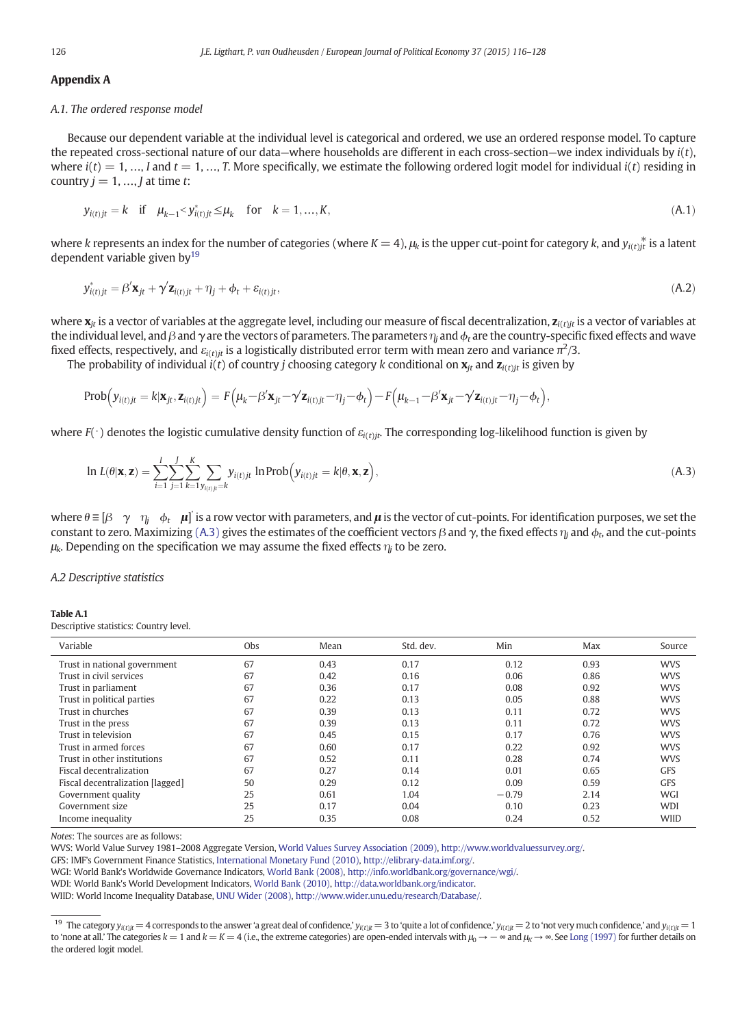#### <span id="page-10-0"></span>Appendix A

#### A.1. The ordered response model

Because our dependent variable at the individual level is categorical and ordered, we use an ordered response model. To capture the repeated cross-sectional nature of our data—where households are different in each cross-section—we index individuals by  $i(t)$ , where  $i(t) = 1, ..., I$  and  $t = 1, ..., T$ . More specifically, we estimate the following ordered logit model for individual  $i(t)$  residing in country  $j = 1, ..., J$  at time t:

$$
y_{i(t)jt} = k
$$
 if  $\mu_{k-1} < y^*_{i(t)jt} \le \mu_k$  for  $k = 1, ..., K,$  (A.1)

where k represents an index for the number of categories (where  $K = 4$ ),  $\mu_k$  is the upper cut-point for category k, and  $y_{i(t)}$  is a latent dependent variable given by $19$ 

$$
y_{i(t)jt}^* = \beta' \mathbf{x}_{jt} + \gamma' \mathbf{z}_{i(t)jt} + \eta_j + \phi_t + \varepsilon_{i(t)jt},
$$
\n(A.2)

where  $\mathbf{x}_{it}$  is a vector of variables at the aggregate level, including our measure of fiscal decentralization,  $\mathbf{z}_{it}$  is a vector of variables at the individual level, and  $\beta$  and  $\gamma$  are the vectors of parameters. The parameters  $\eta_i$  and  $\phi_t$  are the country-specific fixed effects and wave fixed effects, respectively, and  $\varepsilon_{i(t)j t}$  is a logistically distributed error term with mean zero and variance  $\pi^2/3.$ 

The probability of individual  $i(t)$  of country j choosing category k conditional on  $\mathbf{x}_{it}$  and  $\mathbf{z}_{i(t)it}$  is given by

$$
\text{Prob}\Big(\mathbf{y}_{i(t)jt} = k|\mathbf{x}_{jt}, \mathbf{z}_{i(t)jt}\Big) = F\Big(\mu_k - \beta' \mathbf{x}_{jt} - \gamma' \mathbf{z}_{i(t)jt} - \eta_j - \phi_t\Big) - F\Big(\mu_{k-1} - \beta' \mathbf{x}_{jt} - \gamma' \mathbf{z}_{i(t)jt} - \eta_j - \phi_t\Big),
$$

where  $F(\cdot)$  denotes the logistic cumulative density function of  $\varepsilon_{i(t)it}$ . The corresponding log-likelihood function is given by

$$
\ln L(\theta|\mathbf{x}, \mathbf{z}) = \sum_{i=1}^{I} \sum_{j=1}^{J} \sum_{k=1}^{K} \sum_{y_{i(t)j} = k} y_{i(t)j} \ln \text{Prob}\Big(y_{i(t)j} = k | \theta, \mathbf{x}, \mathbf{z}\Big),\tag{A.3}
$$

where  $\theta \equiv [\beta\gamma\gamma_{lj} \phi_t\mu]$  is a row vector with parameters, and  $\mu$  is the vector of cut-points. For identification purposes, we set the constant to zero. Maximizing (A.3) gives the estimates of the coefficient vectors  $\beta$  and  $\gamma$ , the fixed effects  $\eta_i$  and  $\phi_i$ , and the cut-points  $\mu_k$ . Depending on the specification we may assume the fixed effects  $\eta_i$  to be zero.

A.2 Descriptive statistics

#### Table A.1

Descriptive statistics: Country level.

| Variable                         | Obs | Mean | Std. dev. | Min     | Max  | Source      |
|----------------------------------|-----|------|-----------|---------|------|-------------|
| Trust in national government     | 67  | 0.43 | 0.17      | 0.12    | 0.93 | <b>WVS</b>  |
| Trust in civil services          | 67  | 0.42 | 0.16      | 0.06    | 0.86 | <b>WVS</b>  |
| Trust in parliament              | 67  | 0.36 | 0.17      | 0.08    | 0.92 | <b>WVS</b>  |
| Trust in political parties       | 67  | 0.22 | 0.13      | 0.05    | 0.88 | <b>WVS</b>  |
| Trust in churches                | 67  | 0.39 | 0.13      | 0.11    | 0.72 | <b>WVS</b>  |
| Trust in the press               | 67  | 0.39 | 0.13      | 0.11    | 0.72 | <b>WVS</b>  |
| Trust in television              | 67  | 0.45 | 0.15      | 0.17    | 0.76 | <b>WVS</b>  |
| Trust in armed forces            | 67  | 0.60 | 0.17      | 0.22    | 0.92 | <b>WVS</b>  |
| Trust in other institutions      | 67  | 0.52 | 0.11      | 0.28    | 0.74 | <b>WVS</b>  |
| Fiscal decentralization          | 67  | 0.27 | 0.14      | 0.01    | 0.65 | <b>GFS</b>  |
| Fiscal decentralization [lagged] | 50  | 0.29 | 0.12      | 0.09    | 0.59 | <b>GFS</b>  |
| Government quality               | 25  | 0.61 | 1.04      | $-0.79$ | 2.14 | WGI         |
| Government size                  | 25  | 0.17 | 0.04      | 0.10    | 0.23 | <b>WDI</b>  |
| Income inequality                | 25  | 0.35 | 0.08      | 0.24    | 0.52 | <b>WIID</b> |

Notes: The sources are as follows:

WVS: World Value Survey 1981–2008 Aggregate Version, [World Values Survey Association \(2009\),](#page-12-0) <http://www.worldvaluessurvey.org/>.

GFS: IMF's Government Finance Statistics, [International Monetary Fund \(2010\),](#page-11-0) [http://elibrary-data.imf.org/](http://www.worldvaluessurvey.org/).

WGI: World Bank's Worldwide Governance Indicators, [World Bank \(2008\)](#page-12-0), [http://info.worldbank.org/governance/wgi/](http://www.worldvaluessurvey.org/).

WDI: World Bank's World Development Indicators, [World Bank \(2010\),](#page-12-0) [http://data.worldbank.org/indicator.](http://www.worldvaluessurvey.org/)

WIID: World Income Inequality Database, [UNU Wider \(2008\),](#page-12-0) [http://www.wider.unu.edu/research/Database/.](http://www.worldvaluessurvey.org/)

<sup>&</sup>lt;sup>19</sup> The category  $y_{i(t)j t} = 4$  corresponds to the answer 'a great deal of confidence,'  $y_{i(t)j t} = 3$  to 'quite a lot of confidence,'  $y_{i(t)j t} = 2$  to 'not very much confidence,' and  $y_{i(t)j t} = 1$ to 'none at all.' The categories  $k = 1$  and  $k = K = 4$  (i.e., the extreme categories) are open-ended intervals with  $\mu_0 \rightarrow -\infty$  and  $\mu_k \rightarrow \infty$ . See [Long \(1997\)](#page-12-0) for further details on the ordered logit model.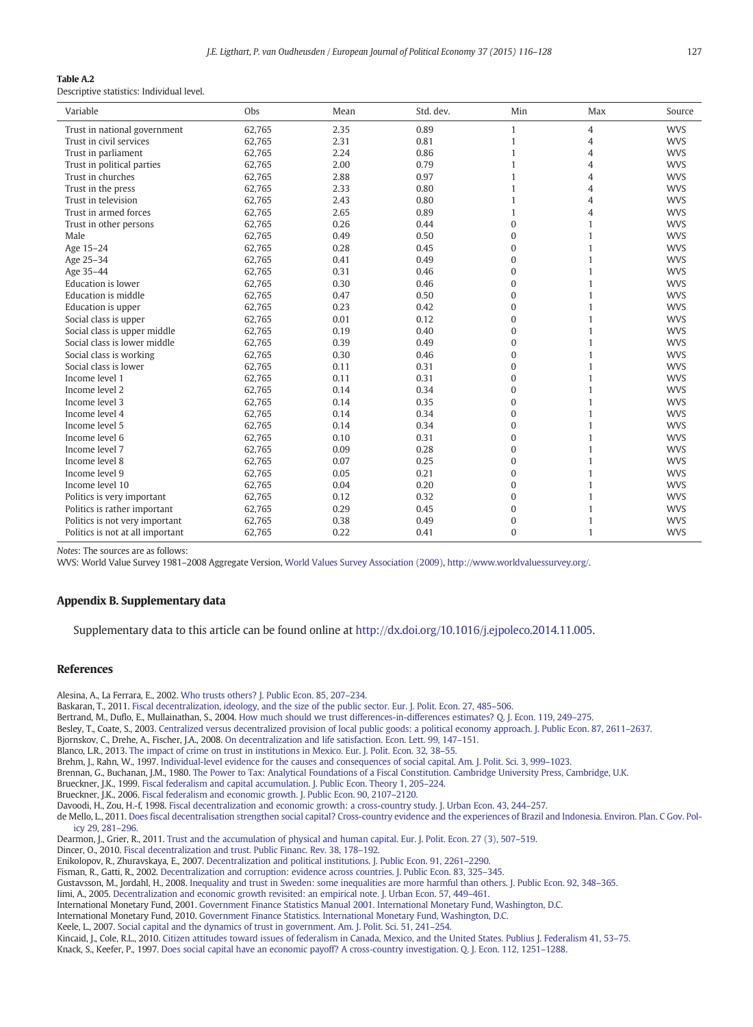#### <span id="page-11-0"></span>Table A.2

Descriptive statistics: Individual level.

| Variable                         | Obs    | Mean | Std. dev. | Min          | Max          | Source     |
|----------------------------------|--------|------|-----------|--------------|--------------|------------|
| Trust in national government     | 62,765 | 2.35 | 0.89      | $\mathbf{1}$ | 4            | <b>WVS</b> |
| Trust in civil services          | 62,765 | 2.31 | 0.81      | $\mathbf{1}$ | 4            | <b>WVS</b> |
| Trust in parliament              | 62,765 | 2.24 | 0.86      | 1            | 4            | <b>WVS</b> |
| Trust in political parties       | 62,765 | 2.00 | 0.79      | 1            | 4            | <b>WVS</b> |
| Trust in churches                | 62,765 | 2.88 | 0.97      | 1            | 4            | <b>WVS</b> |
| Trust in the press               | 62,765 | 2.33 | 0.80      | 1            | 4            | <b>WVS</b> |
| Trust in television              | 62,765 | 2.43 | 0.80      | 1            | 4            | <b>WVS</b> |
| Trust in armed forces            | 62,765 | 2.65 | 0.89      | 1            | 4            | <b>WVS</b> |
| Trust in other persons           | 62,765 | 0.26 | 0.44      | $\Omega$     | 1            | <b>WVS</b> |
| Male                             | 62,765 | 0.49 | 0.50      | $\Omega$     | $\mathbf{1}$ | <b>WVS</b> |
| Age 15-24                        | 62,765 | 0.28 | 0.45      | $\Omega$     | $\mathbf{1}$ | <b>WVS</b> |
| Age 25-34                        | 62,765 | 0.41 | 0.49      | $\Omega$     | $\mathbf{1}$ | <b>WVS</b> |
| Age 35-44                        | 62,765 | 0.31 | 0.46      | $\Omega$     | $\mathbf{1}$ | <b>WVS</b> |
| Education is lower               | 62,765 | 0.30 | 0.46      | $\Omega$     | $\mathbf{1}$ | <b>WVS</b> |
| Education is middle              | 62,765 | 0.47 | 0.50      | $\Omega$     | $\mathbf{1}$ | <b>WVS</b> |
| Education is upper               | 62,765 | 0.23 | 0.42      | $\Omega$     | 1            | <b>WVS</b> |
| Social class is upper            | 62,765 | 0.01 | 0.12      | $\Omega$     | $\mathbf{1}$ | <b>WVS</b> |
| Social class is upper middle     | 62,765 | 0.19 | 0.40      | $\Omega$     | $\mathbf{1}$ | <b>WVS</b> |
| Social class is lower middle     | 62,765 | 0.39 | 0.49      | $\Omega$     | 1            | <b>WVS</b> |
| Social class is working          | 62.765 | 0.30 | 0.46      | $\Omega$     | $\mathbf{1}$ | <b>WVS</b> |
| Social class is lower            | 62.765 | 0.11 | 0.31      | $\Omega$     | 1            | <b>WVS</b> |
| Income level 1                   | 62,765 | 0.11 | 0.31      | $\Omega$     | 1            | <b>WVS</b> |
| Income level 2                   | 62,765 | 0.14 | 0.34      | $\Omega$     | 1            | <b>WVS</b> |
| Income level 3                   | 62,765 | 0.14 | 0.35      | $\Omega$     | 1            | <b>WVS</b> |
| Income level 4                   | 62,765 | 0.14 | 0.34      | $\Omega$     | $\mathbf{1}$ | <b>WVS</b> |
| Income level 5                   | 62.765 | 0.14 | 0.34      | $\Omega$     | $\mathbf{1}$ | <b>WVS</b> |
| Income level 6                   | 62.765 | 0.10 | 0.31      | $\Omega$     | $\mathbf{1}$ | <b>WVS</b> |
| Income level 7                   | 62.765 | 0.09 | 0.28      | $\Omega$     | 1            | <b>WVS</b> |
| Income level 8                   | 62,765 | 0.07 | 0.25      | $\Omega$     | 1            | <b>WVS</b> |
| Income level 9                   | 62,765 | 0.05 | 0.21      | $\Omega$     | $\mathbf{1}$ | <b>WVS</b> |
| Income level 10                  | 62,765 | 0.04 | 0.20      | $\Omega$     | $\mathbf{1}$ | <b>WVS</b> |
| Politics is very important       | 62,765 | 0.12 | 0.32      | $\Omega$     | $\mathbf{1}$ | <b>WVS</b> |
| Politics is rather important     | 62,765 | 0.29 | 0.45      | $\Omega$     | $\mathbf{1}$ | <b>WVS</b> |
| Politics is not very important   | 62,765 | 0.38 | 0.49      | $\Omega$     | $\mathbf{1}$ | <b>WVS</b> |
| Politics is not at all important | 62,765 | 0.22 | 0.41      | $\Omega$     | $\mathbf{1}$ | <b>WVS</b> |

Notes: The sources are as follows:

WVS: World Value Survey 1981–2008 Aggregate Version, [World Values Survey Association \(2009\)](#page-12-0), [http://www.worldvaluessurvey.org/.](http://www.worldvaluessurvey.org/)

#### Appendix B. Supplementary data

Supplementary data to this article can be found online at <http://dx.doi.org/10.1016/j.ejpoleco.2014.11.005>.

### References

Alesina, A., La Ferrara, E., 2002. [Who trusts others? J. Public Econ. 85, 207](http://refhub.elsevier.com/S0176-2680(14)00108-6/rf0235)–234.

Baskaran, T., 2011. [Fiscal decentralization, ideology, and the size of the public sector. Eur. J. Polit. Econ. 27, 485](http://refhub.elsevier.com/S0176-2680(14)00108-6/rf0010)–506.

Bertrand, M., Duflo, E., Mullainathan, S., 2004. [How much should we trust differences-in-differences estimates? Q. J. Econ. 119, 249](http://refhub.elsevier.com/S0176-2680(14)00108-6/rf0240)–275.

Besley, T., Coate, S., 2003. [Centralized versus decentralized provision of local public goods: a political economy approach. J. Public Econ. 87, 2611](http://refhub.elsevier.com/S0176-2680(14)00108-6/rf0245)–2637.

Bjornskov, C., Drehe, A., Fischer, J.A., 2008. [On decentralization and life satisfaction. Econ. Lett. 99, 147](http://refhub.elsevier.com/S0176-2680(14)00108-6/rf0250)–151.

Blanco, L.R., 2013. [The impact of crime on trust in institutions in Mexico. Eur. J. Polit. Econ. 32, 38](http://refhub.elsevier.com/S0176-2680(14)00108-6/rf0030)–55.

Brehm, J., Rahn, W., 1997. [Individual-level evidence for the causes and consequences of social capital. Am. J. Polit. Sci. 3, 999](http://refhub.elsevier.com/S0176-2680(14)00108-6/rf0255)–1023.

Brennan, G., Buchanan, J.M., 1980. [The Power to Tax: Analytical Foundations of a Fiscal Constitution. Cambridge University Press, Cambridge, U.K.](http://refhub.elsevier.com/S0176-2680(14)00108-6/rf0260)

Brueckner, J.K., 1999. [Fiscal federalism and capital accumulation. J. Public Econ. Theory 1, 205](http://refhub.elsevier.com/S0176-2680(14)00108-6/rf0045)–224.

Brueckner, J.K., 2006. [Fiscal federalism and economic growth. J. Public Econ. 90, 2107](http://refhub.elsevier.com/S0176-2680(14)00108-6/rf0050)–2120.

Davoodi, H., Zou, H.-f, 1998. [Fiscal decentralization and economic growth: a cross-country study. J. Urban Econ. 43, 244](http://refhub.elsevier.com/S0176-2680(14)00108-6/rf0055)–257.

de Mello, L., 2011. [Does fiscal decentralisation strengthen social capital? Cross-country evidence and the experiences of Brazil and Indonesia. Environ. Plan. C Gov.](http://refhub.elsevier.com/S0176-2680(14)00108-6/rf0060) Pol[icy 29, 281](http://refhub.elsevier.com/S0176-2680(14)00108-6/rf0060)–296.

Dearmon, J., Grier, R., 2011. [Trust and the accumulation of physical and human capital. Eur. J. Polit. Econ. 27 \(3\), 507](http://refhub.elsevier.com/S0176-2680(14)00108-6/rf0065)–519.

Dincer, O., 2010. [Fiscal decentralization and trust. Public Financ. Rev. 38, 178](http://refhub.elsevier.com/S0176-2680(14)00108-6/rf0070)–192.

Enikolopov, R., Zhuravskaya, E., 2007. [Decentralization and political institutions. J. Public Econ. 91, 2261](http://refhub.elsevier.com/S0176-2680(14)00108-6/rf0075)–2290.

Fisman, R., Gatti, R., 2002. [Decentralization and corruption: evidence across countries. J. Public Econ. 83, 325](http://refhub.elsevier.com/S0176-2680(14)00108-6/rf0080)–345.

Gustavsson, M., Jordahl, H., 2008. [Inequality and trust in Sweden: some inequalities are more harmful than others. J. Public Econ. 92, 348](http://refhub.elsevier.com/S0176-2680(14)00108-6/rf0085)–365.

Iimi, A., 2005. [Decentralization and economic growth revisited: an empirical note. J. Urban Econ. 57, 449](http://refhub.elsevier.com/S0176-2680(14)00108-6/rf0090)–461.

International Monetary Fund, 2001. [Government Finance Statistics Manual 2001. International Monetary Fund, Washington, D.C.](http://refhub.elsevier.com/S0176-2680(14)00108-6/rf0095) International Monetary Fund, 2010. [Government Finance Statistics. International Monetary Fund, Washington, D.C.](http://refhub.elsevier.com/S0176-2680(14)00108-6/rf0100)

Keele, L., 2007. [Social capital and the dynamics of trust in government. Am. J. Polit. Sci. 51, 241](http://refhub.elsevier.com/S0176-2680(14)00108-6/rf0105)–254.

Kincaid, J., Cole, R.L., 2010. [Citizen attitudes toward issues of federalism in Canada, Mexico, and the United States. Publius J. Federalism 41, 53](http://refhub.elsevier.com/S0176-2680(14)00108-6/rf0110)–75. Knack, S., Keefer, P., 1997. [Does social capital have an economic payoff? A cross-country investigation. Q. J. Econ. 112, 1251](http://refhub.elsevier.com/S0176-2680(14)00108-6/rf0115)–1288.